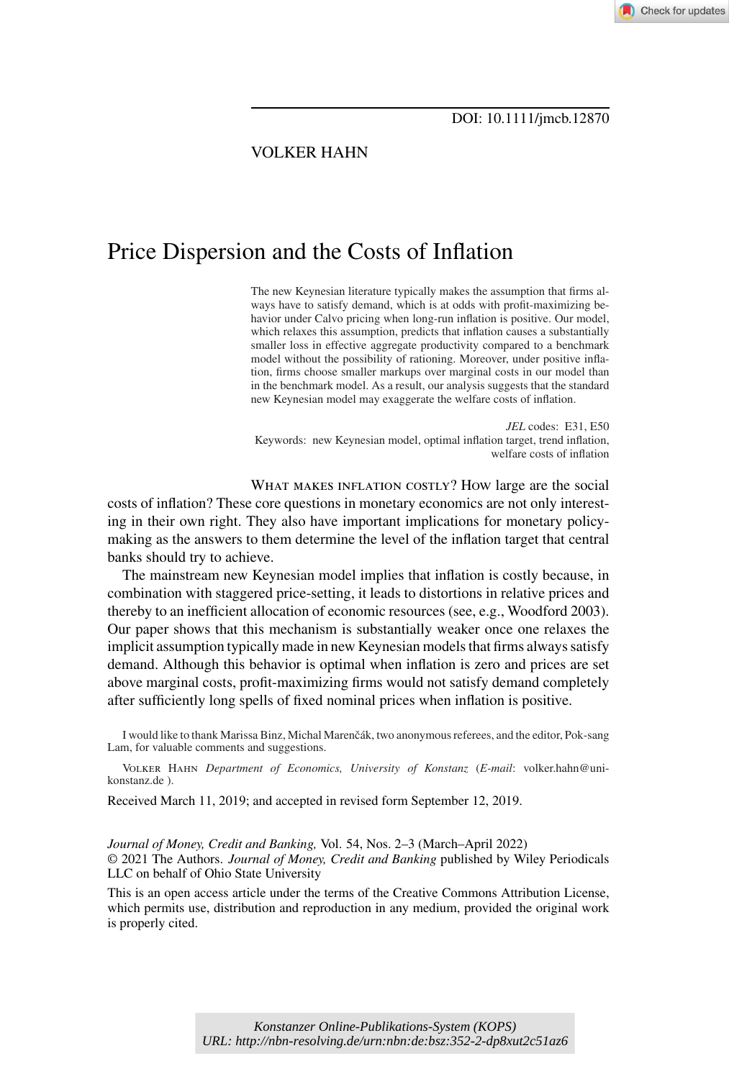Check for updates

# VOLKER HAHN

# Price Dispersion and the Costs of Inflation

The new Keynesian literature typically makes the assumption that firms always have to satisfy demand, which is at odds with profit-maximizing behavior under Calvo pricing when long-run inflation is positive. Our model, which relaxes this assumption, predicts that inflation causes a substantially smaller loss in effective aggregate productivity compared to a benchmark model without the possibility of rationing. Moreover, under positive inflation, firms choose smaller markups over marginal costs in our model than in the benchmark model. As a result, our analysis suggests that the standard new Keynesian model may exaggerate the welfare costs of inflation.

*JEL* codes: E31, E50 Keywords: new Keynesian model, optimal inflation target, trend inflation, welfare costs of inflation

WHAT MAKES INFLATION COSTLY? How large are the social costs of inflation? These core questions in monetary economics are not only interesting in their own right. They also have important implications for monetary policymaking as the answers to them determine the level of the inflation target that central banks should try to achieve.

The mainstream new Keynesian model implies that inflation is costly because, in combination with staggered price-setting, it leads to distortions in relative prices and thereby to an inefficient allocation of economic resources (see, e.g., Woodford 2003). Our paper shows that this mechanism is substantially weaker once one relaxes the implicit assumption typically made in new Keynesian models that firms always satisfy demand. Although this behavior is optimal when inflation is zero and prices are set above marginal costs, profit-maximizing firms would not satisfy demand completely after sufficiently long spells of fixed nominal prices when inflation is positive.

I would like to thank Marissa Binz, Michal Marenčák, two anonymous referees, and the editor, Pok-sang Lam, for valuable comments and suggestions.

Volker Hahn *Department of Economics, University of Konstanz* (*E-mail*: volker.hahn@unikonstanz.de ).

Received March 11, 2019; and accepted in revised form September 12, 2019.

*Journal of Money, Credit and Banking,* Vol. 54, Nos. 2–3 (March–April 2022) © 2021 The Authors. *Journal of Money, Credit and Banking* published by Wiley Periodicals LLC on behalf of Ohio State University

This is an open access article under the terms of the [Creative Commons Attribution](http://creativecommons.org/licenses/by/4.0/) License, which permits use, distribution and reproduction in any medium, provided the original work is properly cited.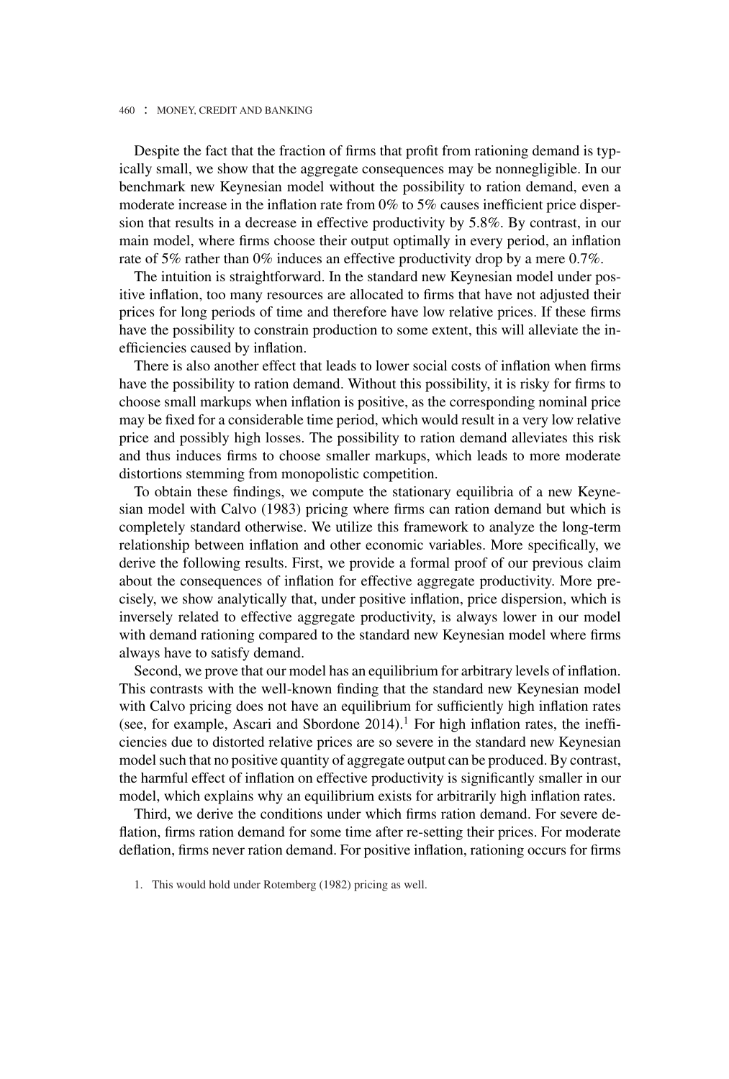Despite the fact that the fraction of firms that profit from rationing demand is typically small, we show that the aggregate consequences may be nonnegligible. In our benchmark new Keynesian model without the possibility to ration demand, even a moderate increase in the inflation rate from 0% to 5% causes inefficient price dispersion that results in a decrease in effective productivity by 5.8%. By contrast, in our main model, where firms choose their output optimally in every period, an inflation rate of 5% rather than 0% induces an effective productivity drop by a mere 0.7%.

The intuition is straightforward. In the standard new Keynesian model under positive inflation, too many resources are allocated to firms that have not adjusted their prices for long periods of time and therefore have low relative prices. If these firms have the possibility to constrain production to some extent, this will alleviate the inefficiencies caused by inflation.

There is also another effect that leads to lower social costs of inflation when firms have the possibility to ration demand. Without this possibility, it is risky for firms to choose small markups when inflation is positive, as the corresponding nominal price may be fixed for a considerable time period, which would result in a very low relative price and possibly high losses. The possibility to ration demand alleviates this risk and thus induces firms to choose smaller markups, which leads to more moderate distortions stemming from monopolistic competition.

To obtain these findings, we compute the stationary equilibria of a new Keynesian model with Calvo (1983) pricing where firms can ration demand but which is completely standard otherwise. We utilize this framework to analyze the long-term relationship between inflation and other economic variables. More specifically, we derive the following results. First, we provide a formal proof of our previous claim about the consequences of inflation for effective aggregate productivity. More precisely, we show analytically that, under positive inflation, price dispersion, which is inversely related to effective aggregate productivity, is always lower in our model with demand rationing compared to the standard new Keynesian model where firms always have to satisfy demand.

Second, we prove that our model has an equilibrium for arbitrary levels of inflation. This contrasts with the well-known finding that the standard new Keynesian model with Calvo pricing does not have an equilibrium for sufficiently high inflation rates (see, for example, Ascari and Sbordone  $2014$ ).<sup>1</sup> For high inflation rates, the inefficiencies due to distorted relative prices are so severe in the standard new Keynesian model such that no positive quantity of aggregate output can be produced. By contrast, the harmful effect of inflation on effective productivity is significantly smaller in our model, which explains why an equilibrium exists for arbitrarily high inflation rates.

Third, we derive the conditions under which firms ration demand. For severe deflation, firms ration demand for some time after re-setting their prices. For moderate deflation, firms never ration demand. For positive inflation, rationing occurs for firms

<sup>1.</sup> This would hold under Rotemberg (1982) pricing as well.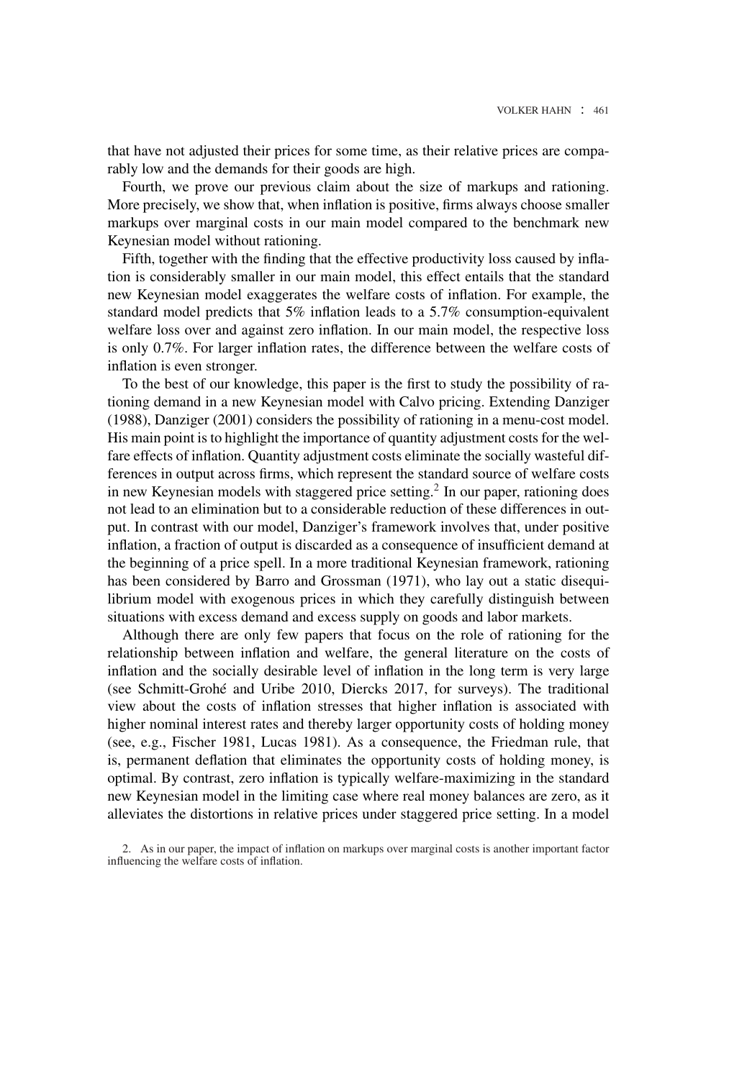that have not adjusted their prices for some time, as their relative prices are comparably low and the demands for their goods are high.

Fourth, we prove our previous claim about the size of markups and rationing. More precisely, we show that, when inflation is positive, firms always choose smaller markups over marginal costs in our main model compared to the benchmark new Keynesian model without rationing.

Fifth, together with the finding that the effective productivity loss caused by inflation is considerably smaller in our main model, this effect entails that the standard new Keynesian model exaggerates the welfare costs of inflation. For example, the standard model predicts that 5% inflation leads to a 5.7% consumption-equivalent welfare loss over and against zero inflation. In our main model, the respective loss is only 0.7%. For larger inflation rates, the difference between the welfare costs of inflation is even stronger.

To the best of our knowledge, this paper is the first to study the possibility of rationing demand in a new Keynesian model with Calvo pricing. Extending Danziger (1988), Danziger (2001) considers the possibility of rationing in a menu-cost model. His main point is to highlight the importance of quantity adjustment costs for the welfare effects of inflation. Quantity adjustment costs eliminate the socially wasteful differences in output across firms, which represent the standard source of welfare costs in new Keynesian models with staggered price setting.<sup>2</sup> In our paper, rationing does not lead to an elimination but to a considerable reduction of these differences in output. In contrast with our model, Danziger's framework involves that, under positive inflation, a fraction of output is discarded as a consequence of insufficient demand at the beginning of a price spell. In a more traditional Keynesian framework, rationing has been considered by Barro and Grossman (1971), who lay out a static disequilibrium model with exogenous prices in which they carefully distinguish between situations with excess demand and excess supply on goods and labor markets.

Although there are only few papers that focus on the role of rationing for the relationship between inflation and welfare, the general literature on the costs of inflation and the socially desirable level of inflation in the long term is very large (see Schmitt-Grohé and Uribe 2010, Diercks 2017, for surveys). The traditional view about the costs of inflation stresses that higher inflation is associated with higher nominal interest rates and thereby larger opportunity costs of holding money (see, e.g., Fischer 1981, Lucas 1981). As a consequence, the Friedman rule, that is, permanent deflation that eliminates the opportunity costs of holding money, is optimal. By contrast, zero inflation is typically welfare-maximizing in the standard new Keynesian model in the limiting case where real money balances are zero, as it alleviates the distortions in relative prices under staggered price setting. In a model

2. As in our paper, the impact of inflation on markups over marginal costs is another important factor influencing the welfare costs of inflation.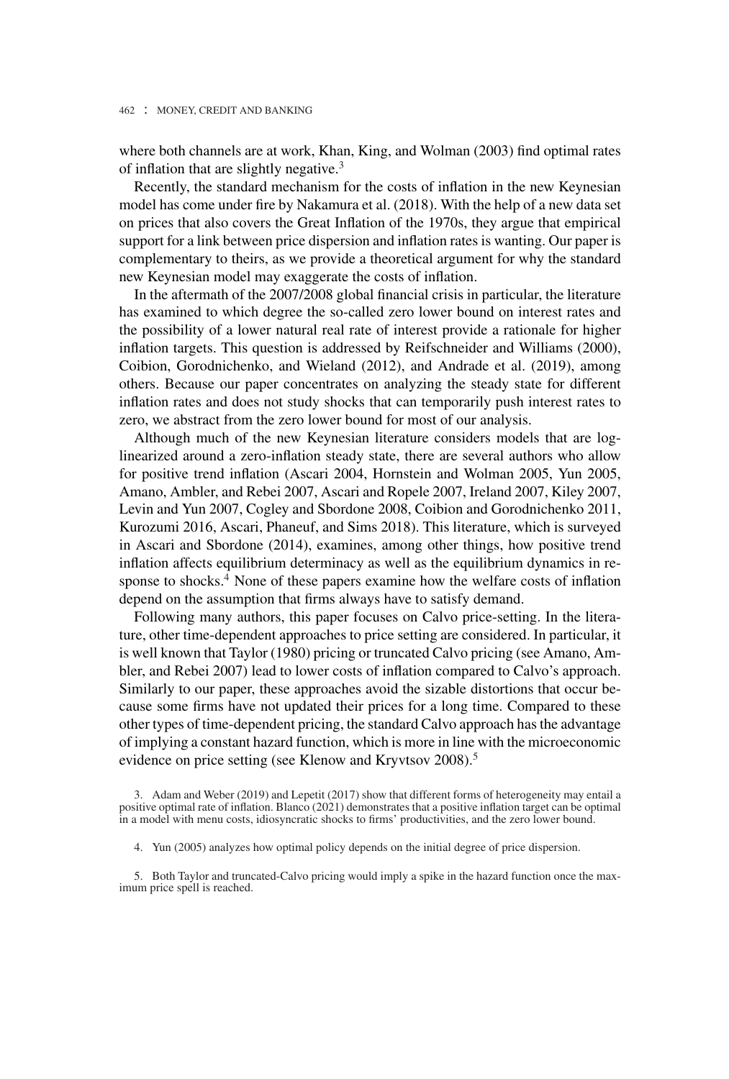where both channels are at work, Khan, King, and Wolman (2003) find optimal rates of inflation that are slightly negative.<sup>3</sup>

Recently, the standard mechanism for the costs of inflation in the new Keynesian model has come under fire by Nakamura et al. (2018). With the help of a new data set on prices that also covers the Great Inflation of the 1970s, they argue that empirical support for a link between price dispersion and inflation rates is wanting. Our paper is complementary to theirs, as we provide a theoretical argument for why the standard new Keynesian model may exaggerate the costs of inflation.

In the aftermath of the 2007/2008 global financial crisis in particular, the literature has examined to which degree the so-called zero lower bound on interest rates and the possibility of a lower natural real rate of interest provide a rationale for higher inflation targets. This question is addressed by Reifschneider and Williams (2000), Coibion, Gorodnichenko, and Wieland (2012), and Andrade et al. (2019), among others. Because our paper concentrates on analyzing the steady state for different inflation rates and does not study shocks that can temporarily push interest rates to zero, we abstract from the zero lower bound for most of our analysis.

Although much of the new Keynesian literature considers models that are loglinearized around a zero-inflation steady state, there are several authors who allow for positive trend inflation (Ascari 2004, Hornstein and Wolman 2005, Yun 2005, Amano, Ambler, and Rebei 2007, Ascari and Ropele 2007, Ireland 2007, Kiley 2007, Levin and Yun 2007, Cogley and Sbordone 2008, Coibion and Gorodnichenko 2011, Kurozumi 2016, Ascari, Phaneuf, and Sims 2018). This literature, which is surveyed in Ascari and Sbordone (2014), examines, among other things, how positive trend inflation affects equilibrium determinacy as well as the equilibrium dynamics in response to shocks.<sup>4</sup> None of these papers examine how the welfare costs of inflation depend on the assumption that firms always have to satisfy demand.

Following many authors, this paper focuses on Calvo price-setting. In the literature, other time-dependent approaches to price setting are considered. In particular, it is well known that Taylor (1980) pricing or truncated Calvo pricing (see Amano, Ambler, and Rebei 2007) lead to lower costs of inflation compared to Calvo's approach. Similarly to our paper, these approaches avoid the sizable distortions that occur because some firms have not updated their prices for a long time. Compared to these other types of time-dependent pricing, the standard Calvo approach has the advantage of implying a constant hazard function, which is more in line with the microeconomic evidence on price setting (see Klenow and Kryvtsov 2008).<sup>5</sup>

- 4. Yun (2005) analyzes how optimal policy depends on the initial degree of price dispersion.
- 5. Both Taylor and truncated-Calvo pricing would imply a spike in the hazard function once the maximum price spell is reached.

<sup>3.</sup> Adam and Weber (2019) and Lepetit (2017) show that different forms of heterogeneity may entail a positive optimal rate of inflation. Blanco (2021) demonstrates that a positive inflation target can be optimal in a model with menu costs, idiosyncratic shocks to firms' productivities, and the zero lower bound.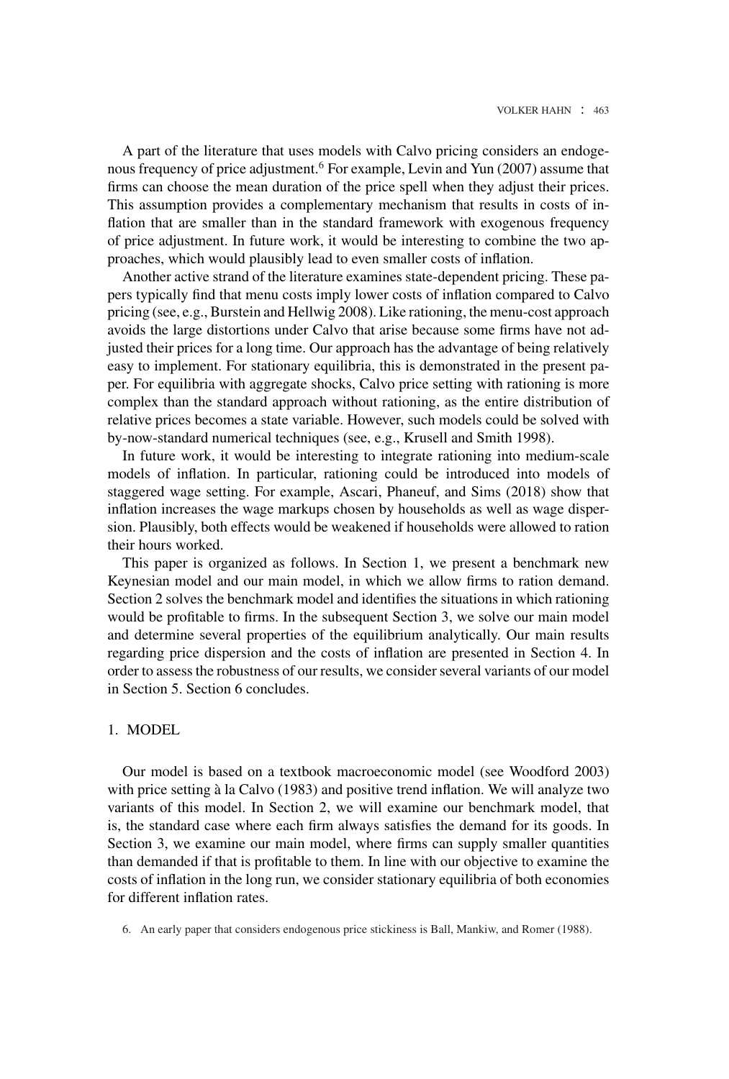A part of the literature that uses models with Calvo pricing considers an endogenous frequency of price adjustment.<sup>6</sup> For example, Levin and Yun (2007) assume that firms can choose the mean duration of the price spell when they adjust their prices. This assumption provides a complementary mechanism that results in costs of inflation that are smaller than in the standard framework with exogenous frequency of price adjustment. In future work, it would be interesting to combine the two approaches, which would plausibly lead to even smaller costs of inflation.

Another active strand of the literature examines state-dependent pricing. These papers typically find that menu costs imply lower costs of inflation compared to Calvo pricing (see, e.g., Burstein and Hellwig 2008). Like rationing, the menu-cost approach avoids the large distortions under Calvo that arise because some firms have not adjusted their prices for a long time. Our approach has the advantage of being relatively easy to implement. For stationary equilibria, this is demonstrated in the present paper. For equilibria with aggregate shocks, Calvo price setting with rationing is more complex than the standard approach without rationing, as the entire distribution of relative prices becomes a state variable. However, such models could be solved with by-now-standard numerical techniques (see, e.g., Krusell and Smith 1998).

In future work, it would be interesting to integrate rationing into medium-scale models of inflation. In particular, rationing could be introduced into models of staggered wage setting. For example, Ascari, Phaneuf, and Sims (2018) show that inflation increases the wage markups chosen by households as well as wage dispersion. Plausibly, both effects would be weakened if households were allowed to ration their hours worked.

This paper is organized as follows. In Section 1, we present a benchmark new Keynesian model and our main model, in which we allow firms to ration demand. Section 2 solves the benchmark model and identifies the situations in which rationing would be profitable to firms. In the subsequent Section 3, we solve our main model and determine several properties of the equilibrium analytically. Our main results regarding price dispersion and the costs of inflation are presented in Section 4. In order to assess the robustness of our results, we consider several variants of our model in Section 5. Section 6 concludes.

## 1. MODEL

Our model is based on a textbook macroeconomic model (see Woodford 2003) with price setting à la Calvo (1983) and positive trend inflation. We will analyze two variants of this model. In Section 2, we will examine our benchmark model, that is, the standard case where each firm always satisfies the demand for its goods. In Section 3, we examine our main model, where firms can supply smaller quantities than demanded if that is profitable to them. In line with our objective to examine the costs of inflation in the long run, we consider stationary equilibria of both economies for different inflation rates.

6. An early paper that considers endogenous price stickiness is Ball, Mankiw, and Romer (1988).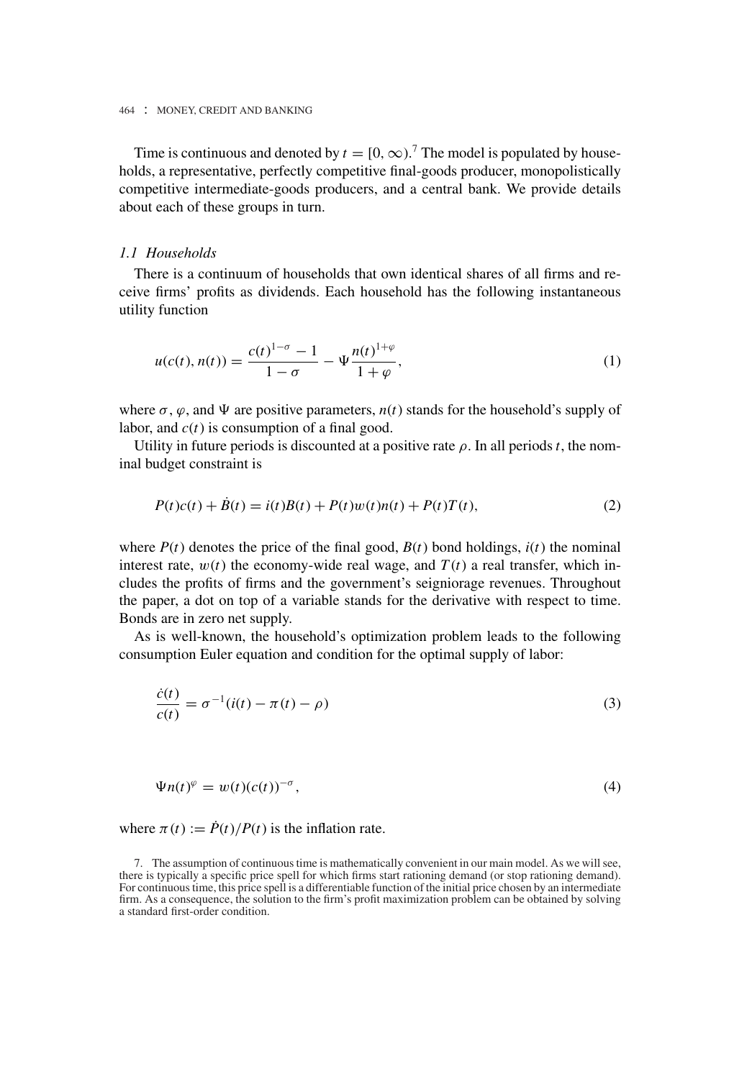Time is continuous and denoted by  $t = [0, \infty)$ .<sup>7</sup> The model is populated by households, a representative, perfectly competitive final-goods producer, monopolistically competitive intermediate-goods producers, and a central bank. We provide details about each of these groups in turn.

### *1.1 Households*

There is a continuum of households that own identical shares of all firms and receive firms' profits as dividends. Each household has the following instantaneous utility function

$$
u(c(t), n(t)) = \frac{c(t)^{1-\sigma} - 1}{1 - \sigma} - \Psi \frac{n(t)^{1+\varphi}}{1 + \varphi},
$$
\n(1)

where  $\sigma$ ,  $\varphi$ , and  $\Psi$  are positive parameters,  $n(t)$  stands for the household's supply of labor, and  $c(t)$  is consumption of a final good.

Utility in future periods is discounted at a positive rate  $\rho$ . In all periods *t*, the nominal budget constraint is

$$
P(t)c(t) + \dot{B}(t) = i(t)B(t) + P(t)w(t)n(t) + P(t)T(t),
$$
\n(2)

where  $P(t)$  denotes the price of the final good,  $B(t)$  bond holdings,  $i(t)$  the nominal interest rate,  $w(t)$  the economy-wide real wage, and  $T(t)$  a real transfer, which includes the profits of firms and the government's seigniorage revenues. Throughout the paper, a dot on top of a variable stands for the derivative with respect to time. Bonds are in zero net supply.

As is well-known, the household's optimization problem leads to the following consumption Euler equation and condition for the optimal supply of labor:

$$
\frac{\dot{c}(t)}{c(t)} = \sigma^{-1}(i(t) - \pi(t) - \rho) \tag{3}
$$

$$
\Psi n(t)^{\varphi} = w(t)(c(t))^{-\sigma},\tag{4}
$$

where  $\pi(t) := \dot{P}(t)/P(t)$  is the inflation rate.

7. The assumption of continuous time is mathematically convenient in our main model. As we will see, there is typically a specific price spell for which firms start rationing demand (or stop rationing demand). For continuous time, this price spell is a differentiable function of the initial price chosen by an intermediate firm. As a consequence, the solution to the firm's profit maximization problem can be obtained by solving a standard first-order condition.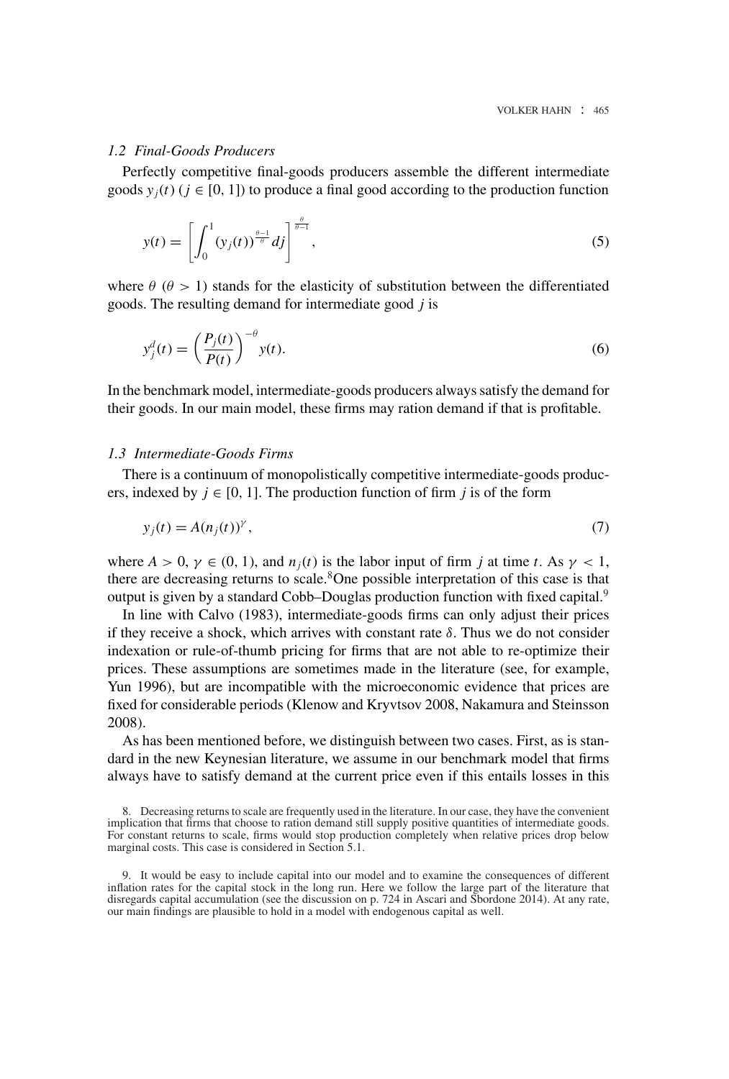#### *1.2 Final-Goods Producers*

Perfectly competitive final-goods producers assemble the different intermediate goods  $y_i(t)$  ( $j \in [0, 1]$ ) to produce a final good according to the production function

$$
y(t) = \left[ \int_0^1 (y_j(t))^{\frac{\theta-1}{\theta}} df \right]^{\frac{\theta}{\theta-1}}, \tag{5}
$$

where  $\theta$  ( $\theta > 1$ ) stands for the elasticity of substitution between the differentiated goods. The resulting demand for intermediate good *j* is

$$
y_j^d(t) = \left(\frac{P_j(t)}{P(t)}\right)^{-\theta} y(t).
$$
\n(6)

In the benchmark model, intermediate-goods producers always satisfy the demand for their goods. In our main model, these firms may ration demand if that is profitable.

#### *1.3 Intermediate-Goods Firms*

There is a continuum of monopolistically competitive intermediate-goods producers, indexed by  $j \in [0, 1]$ . The production function of firm *j* is of the form

$$
y_j(t) = A(n_j(t))^{\gamma},\tag{7}
$$

where  $A > 0$ ,  $\gamma \in (0, 1)$ , and  $n_i(t)$  is the labor input of firm *j* at time *t*. As  $\gamma < 1$ , there are decreasing returns to scale.8One possible interpretation of this case is that output is given by a standard Cobb–Douglas production function with fixed capital.9

In line with Calvo (1983), intermediate-goods firms can only adjust their prices if they receive a shock, which arrives with constant rate  $\delta$ . Thus we do not consider indexation or rule-of-thumb pricing for firms that are not able to re-optimize their prices. These assumptions are sometimes made in the literature (see, for example, Yun 1996), but are incompatible with the microeconomic evidence that prices are fixed for considerable periods (Klenow and Kryvtsov 2008, Nakamura and Steinsson 2008).

As has been mentioned before, we distinguish between two cases. First, as is standard in the new Keynesian literature, we assume in our benchmark model that firms always have to satisfy demand at the current price even if this entails losses in this

<sup>8.</sup> Decreasing returns to scale are frequently used in the literature. In our case, they have the convenient implication that firms that choose to ration demand still supply positive quantities of intermediate goods. For constant returns to scale, firms would stop production completely when relative prices drop below marginal costs. This case is considered in Section 5.1.

<sup>9.</sup> It would be easy to include capital into our model and to examine the consequences of different inflation rates for the capital stock in the long run. Here we follow the large part of the literature that disregards capital accumulation (see the discussion on p. 724 in Ascari and Sbordone 2014). At any rate, our main findings are plausible to hold in a model with endogenous capital as well.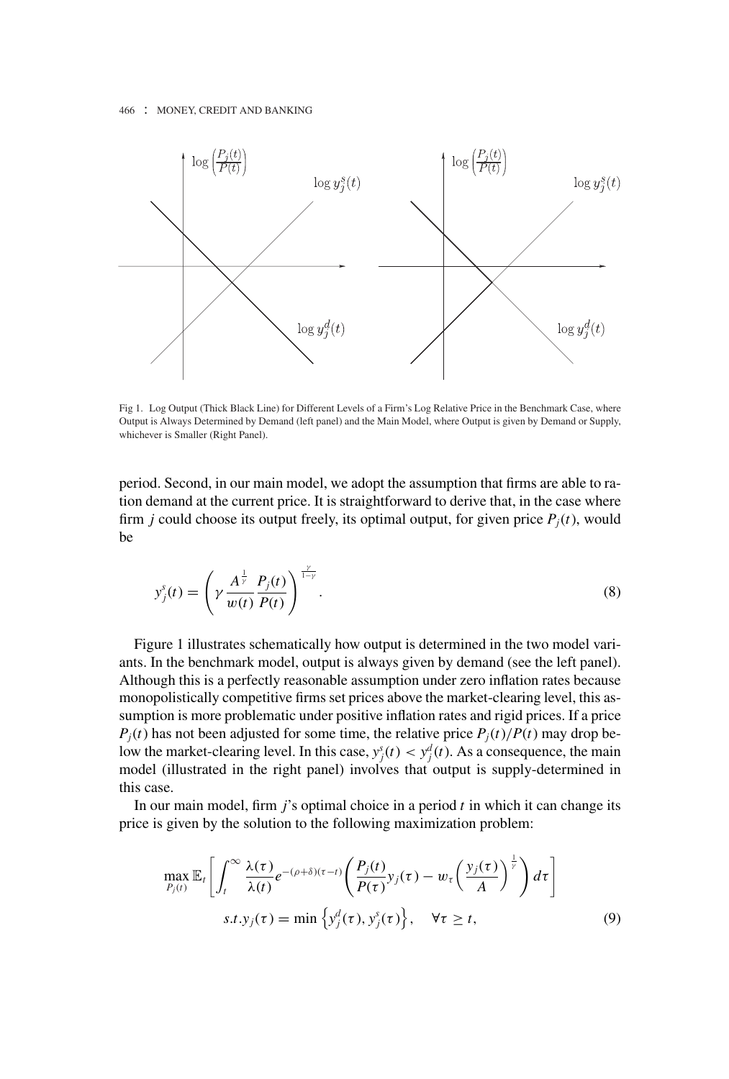

Fig 1. Log Output (Thick Black Line) for Different Levels of a Firm's Log Relative Price in the Benchmark Case, where Output is Always Determined by Demand (left panel) and the Main Model, where Output is given by Demand or Supply, whichever is Smaller (Right Panel).

period. Second, in our main model, we adopt the assumption that firms are able to ration demand at the current price. It is straightforward to derive that, in the case where firm *j* could choose its output freely, its optimal output, for given price  $P_i(t)$ , would be

$$
y_j^s(t) = \left(\gamma \frac{A^{\frac{1}{\gamma}}}{w(t)} \frac{P_j(t)}{P(t)}\right)^{\frac{\gamma}{1-\gamma}}.
$$
\n(8)

Figure 1 illustrates schematically how output is determined in the two model variants. In the benchmark model, output is always given by demand (see the left panel). Although this is a perfectly reasonable assumption under zero inflation rates because monopolistically competitive firms set prices above the market-clearing level, this assumption is more problematic under positive inflation rates and rigid prices. If a price  $P_j(t)$  has not been adjusted for some time, the relative price  $P_j(t)/P(t)$  may drop below the market-clearing level. In this case,  $y_j^s(t) < y_j^d(t)$ . As a consequence, the main model (illustrated in the right panel) involves that output is supply-determined in this case.

In our main model, firm *j*'s optimal choice in a period *t* in which it can change its price is given by the solution to the following maximization problem:

$$
\max_{P_j(t)} \mathbb{E}_t \left[ \int_t^{\infty} \frac{\lambda(\tau)}{\lambda(t)} e^{-(\rho+\delta)(\tau-t)} \left( \frac{P_j(t)}{P(\tau)} y_j(\tau) - w_{\tau} \left( \frac{y_j(\tau)}{A} \right)^{\frac{1}{\gamma}} \right) d\tau \right]
$$
  
s.t.  $y_j(\tau) = \min \left\{ y_j^d(\tau), y_j^s(\tau) \right\}, \quad \forall \tau \ge t,$  (9)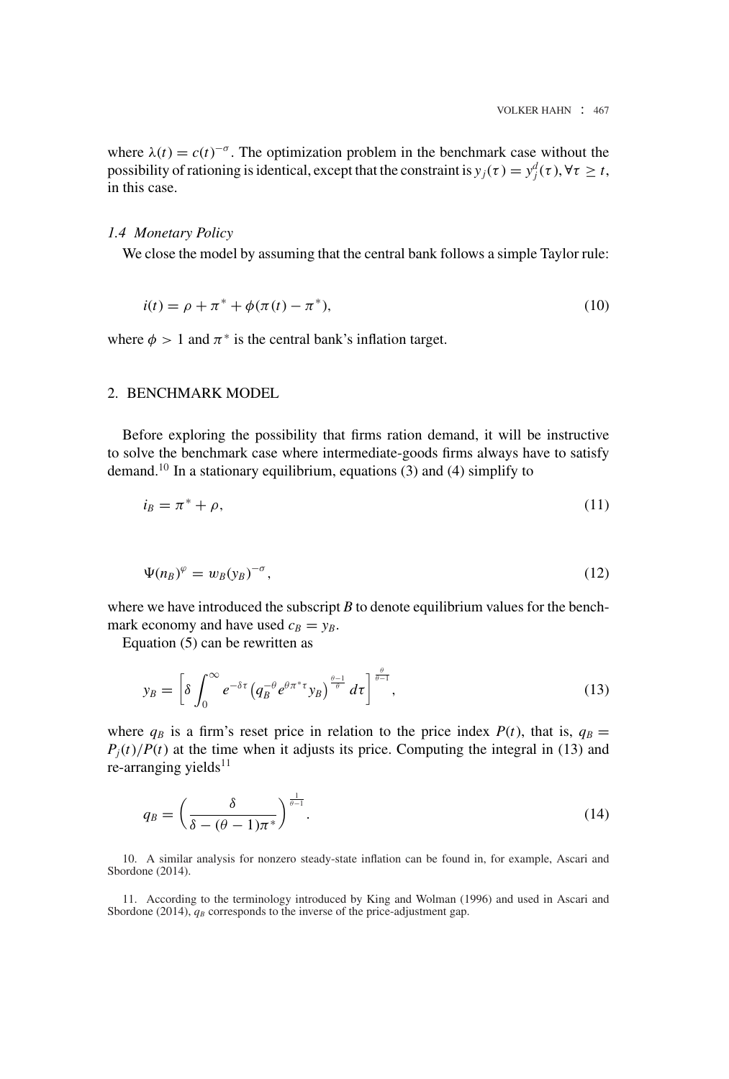where  $\lambda(t) = c(t)^{-\sigma}$ . The optimization problem in the benchmark case without the possibility of rationing is identical, except that the constraint is  $y_j(\tau) = y_j^d(\tau)$ ,  $\forall \tau \geq t$ , in this case.

## *1.4 Monetary Policy*

We close the model by assuming that the central bank follows a simple Taylor rule:

$$
i(t) = \rho + \pi^* + \phi(\pi(t) - \pi^*),
$$
\n(10)

where  $\phi > 1$  and  $\pi^*$  is the central bank's inflation target.

#### 2. BENCHMARK MODEL

Before exploring the possibility that firms ration demand, it will be instructive to solve the benchmark case where intermediate-goods firms always have to satisfy demand.<sup>10</sup> In a stationary equilibrium, equations (3) and (4) simplify to

$$
i_B = \pi^* + \rho,\tag{11}
$$

$$
\Psi(n_B)^{\varphi} = w_B(y_B)^{-\sigma},\tag{12}
$$

where we have introduced the subscript  $B$  to denote equilibrium values for the benchmark economy and have used  $c_B = y_B$ .

Equation (5) can be rewritten as

$$
y_B = \left[ \delta \int_0^\infty e^{-\delta \tau} \left( q_B^{-\theta} e^{\theta \pi^* \tau} y_B \right)^{\frac{\theta - 1}{\theta}} d\tau \right]^{\frac{\theta}{\theta - 1}},\tag{13}
$$

where  $q_B$  is a firm's reset price in relation to the price index  $P(t)$ , that is,  $q_B =$  $P_i(t)/P(t)$  at the time when it adjusts its price. Computing the integral in (13) and re-arranging yields $11$ 

$$
q_B = \left(\frac{\delta}{\delta - (\theta - 1)\pi^*}\right)^{\frac{1}{\theta - 1}}.\tag{14}
$$

10. A similar analysis for nonzero steady-state inflation can be found in, for example, Ascari and Sbordone (2014).

11. According to the terminology introduced by King and Wolman (1996) and used in Ascari and Sbordone (2014),  $q_B$  corresponds to the inverse of the price-adjustment gap.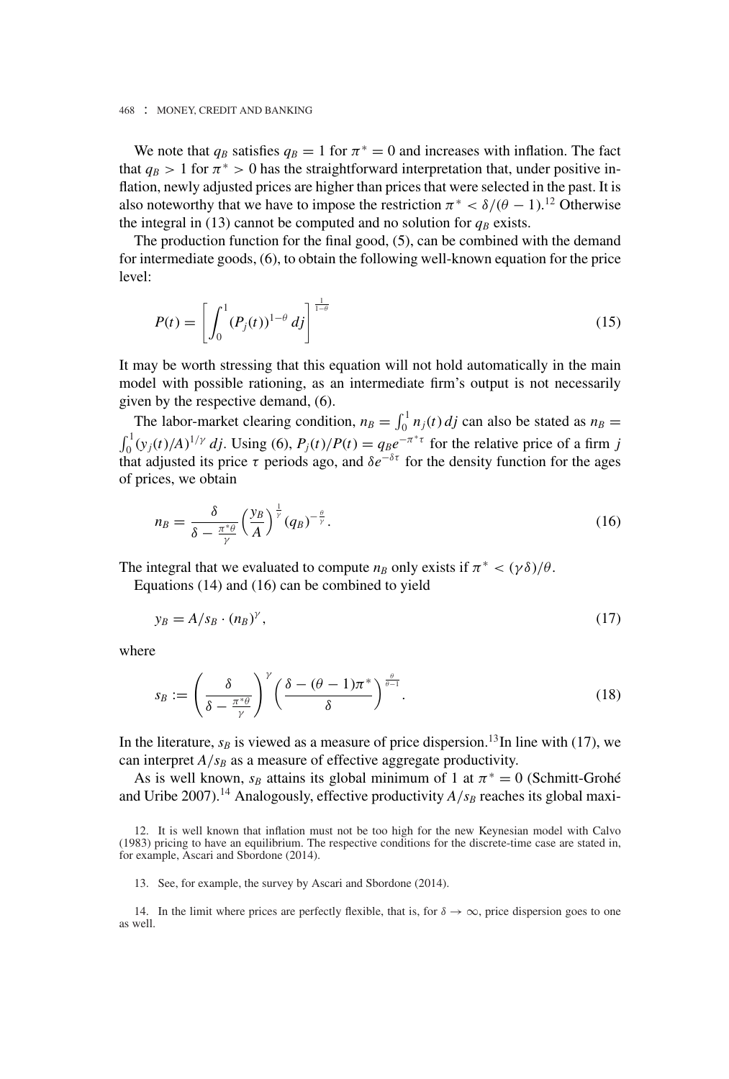We note that  $q_B$  satisfies  $q_B = 1$  for  $\pi^* = 0$  and increases with inflation. The fact that  $q_B > 1$  for  $\pi^* > 0$  has the straightforward interpretation that, under positive inflation, newly adjusted prices are higher than prices that were selected in the past. It is also noteworthy that we have to impose the restriction  $\pi^* < \delta/(\theta - 1)$ .<sup>12</sup> Otherwise the integral in (13) cannot be computed and no solution for  $q_B$  exists.

The production function for the final good, (5), can be combined with the demand for intermediate goods, (6), to obtain the following well-known equation for the price level:

$$
P(t) = \left[ \int_0^1 (P_j(t))^{1-\theta} \, df \right]^{\frac{1}{1-\theta}} \tag{15}
$$

It may be worth stressing that this equation will not hold automatically in the main model with possible rationing, as an intermediate firm's output is not necessarily given by the respective demand, (6).

The labor-market clearing condition,  $n_B = \int_0^1 n_j(t) dt$  can also be stated as  $n_B =$  $\int_0^1 (y_j(t)/A)^{1/\gamma} d\mu$ . Using (6),  $P_j(t)/P(t) = q_B e^{-\pi^*\tau}$  for the relative price of a firm  $\mu$ that adjusted its price  $\tau$  periods ago, and  $\delta e^{-\delta \tau}$  for the density function for the ages of prices, we obtain

$$
n_B = \frac{\delta}{\delta - \frac{\pi^* \theta}{\gamma}} \left(\frac{y_B}{A}\right)^{\frac{1}{\gamma}} (q_B)^{-\frac{\theta}{\gamma}}.
$$
\n(16)

The integral that we evaluated to compute  $n_B$  only exists if  $\pi^* < (\gamma \delta)/\theta$ .

Equations (14) and (16) can be combined to yield

$$
y_B = A/s_B \cdot (n_B)^{\gamma},\tag{17}
$$

where

$$
s_B := \left(\frac{\delta}{\delta - \frac{\pi^*\theta}{\gamma}}\right)^{\gamma} \left(\frac{\delta - (\theta - 1)\pi^*}{\delta}\right)^{\frac{\theta}{\theta - 1}}.\tag{18}
$$

In the literature,  $s_B$  is viewed as a measure of price dispersion.<sup>13</sup>In line with (17), we can interpret  $A/s_B$  as a measure of effective aggregate productivity.

As is well known,  $s_B$  attains its global minimum of 1 at  $\pi^* = 0$  (Schmitt-Grohé and Uribe 2007).<sup>14</sup> Analogously, effective productivity  $A/s_B$  reaches its global maxi-

13. See, for example, the survey by Ascari and Sbordone (2014).

<sup>12.</sup> It is well known that inflation must not be too high for the new Keynesian model with Calvo (1983) pricing to have an equilibrium. The respective conditions for the discrete-time case are stated in, for example, Ascari and Sbordone (2014).

<sup>14.</sup> In the limit where prices are perfectly flexible, that is, for  $\delta \to \infty$ , price dispersion goes to one as well.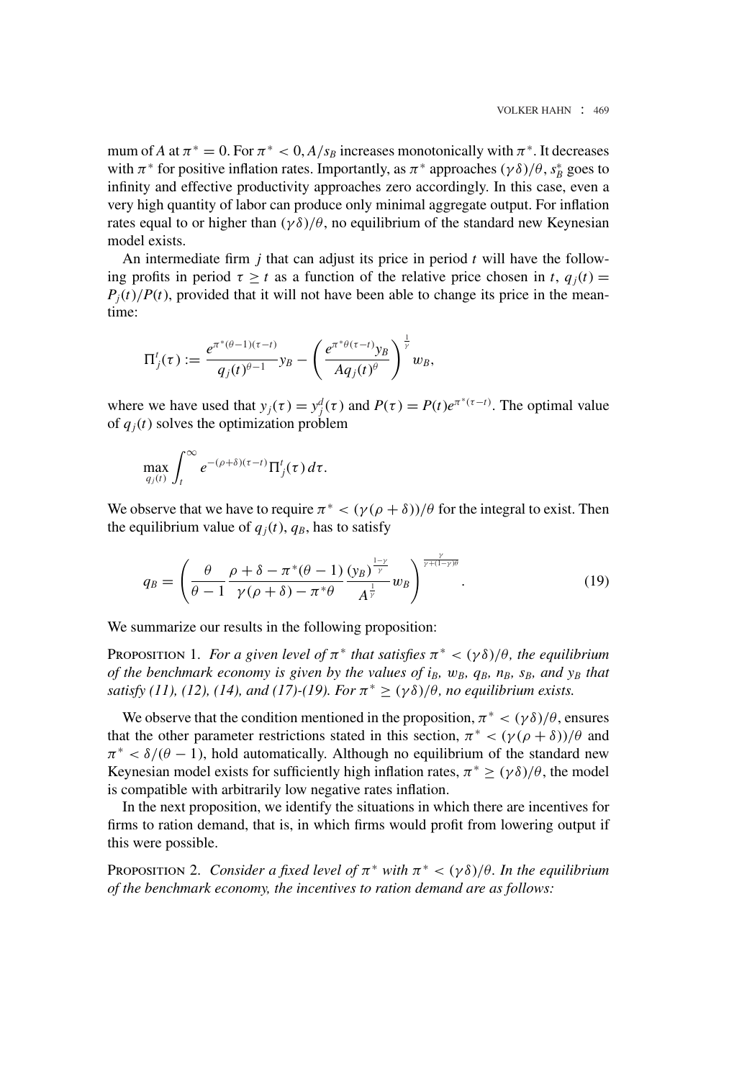mum of *A* at  $\pi^* = 0$ . For  $\pi^* < 0$ ,  $A/s_B$  increases monotonically with  $\pi^*$ . It decreases with  $\pi^*$  for positive inflation rates. Importantly, as  $\pi^*$  approaches  $(\gamma \delta)/\theta$ ,  $s_B^*$  goes to infinity and effective productivity approaches zero accordingly. In this case, even a very high quantity of labor can produce only minimal aggregate output. For inflation rates equal to or higher than  $(\gamma \delta)/\theta$ , no equilibrium of the standard new Keynesian model exists.

An intermediate firm *j* that can adjust its price in period *t* will have the following profits in period  $\tau \geq t$  as a function of the relative price chosen in *t*,  $q_i(t)$  =  $P_i(t)/P(t)$ , provided that it will not have been able to change its price in the meantime:

$$
\Pi_j^t(\tau) := \frac{e^{\pi^*(\theta-1)(\tau-t)}}{q_j(t)^{\theta-1}} y_B - \left(\frac{e^{\pi^*\theta(\tau-t)}y_B}{Aq_j(t)^{\theta}}\right)^{\frac{1}{\gamma}} w_B,
$$

where we have used that  $y_j(\tau) = y_j^d(\tau)$  and  $P(\tau) = P(t)e^{\pi^*(\tau - t)}$ . The optimal value of  $q_i(t)$  solves the optimization problem

$$
\max_{q_j(t)} \int_t^\infty e^{-(\rho+\delta)(\tau-t)} \Pi_j^t(\tau) d\tau.
$$

We observe that we have to require  $\pi^* < (\gamma(\rho + \delta))/\theta$  for the integral to exist. Then the equilibrium value of  $q_i(t)$ ,  $q_B$ , has to satisfy

$$
q_B = \left(\frac{\theta}{\theta-1}\frac{\rho+\delta-\pi^*(\theta-1)}{\gamma(\rho+\delta)-\pi^*\theta}\frac{(y_B)^{\frac{1-\gamma}{\gamma}}}{A^{\frac{1}{\gamma}}}w_B\right)^{\frac{\gamma}{\gamma+(1-\gamma)\theta}}.\tag{19}
$$

We summarize our results in the following proposition:

PROPOSITION 1. *For a given level of*  $\pi^*$  *that satisfies*  $\pi^* < (\gamma \delta)/\theta$ *, the equilibrium of the benchmark economy is given by the values of iB, wB, qB, nB, sB, and yB that satisfy (11), (12), (14), and (17)-(19). For*  $\pi^* \ge (\gamma \delta)/\theta$ *, no equilibrium exists.* 

We observe that the condition mentioned in the proposition,  $\pi^* < (\gamma \delta)/\theta$ , ensures that the other parameter restrictions stated in this section,  $\pi^* < (\gamma(\rho + \delta))/\theta$  and  $\pi^* < \delta/(\theta - 1)$ , hold automatically. Although no equilibrium of the standard new Keynesian model exists for sufficiently high inflation rates,  $\pi^* \geq (\gamma \delta)/\theta$ , the model is compatible with arbitrarily low negative rates inflation.

In the next proposition, we identify the situations in which there are incentives for firms to ration demand, that is, in which firms would profit from lowering output if this were possible.

PROPOSITION 2. *Consider a fixed level of*  $\pi^*$  *with*  $\pi^* < (\gamma \delta)/\theta$ *. In the equilibrium of the benchmark economy, the incentives to ration demand are as follows:*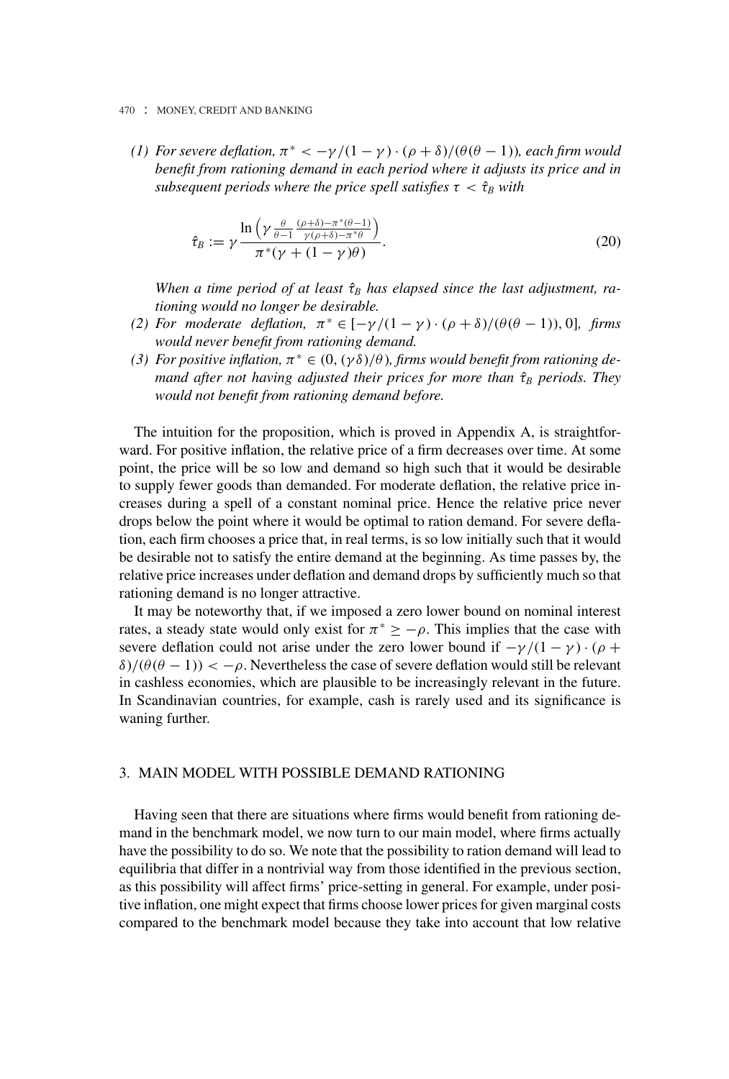*(1) For severe deflation,*  $\pi^* < -\gamma/(1-\gamma) \cdot (\rho + \delta)/(\theta(\theta-1))$ *, each firm would benefit from rationing demand in each period where it adjusts its price and in subsequent periods where the price spell satisfies*  $\tau < \hat{\tau}_B$  *with* 

$$
\hat{\tau}_B := \gamma \frac{\ln \left( \gamma \frac{\theta}{\theta - 1} \frac{(\rho + \delta) - \pi^*(\theta - 1)}{\gamma(\rho + \delta) - \pi^*\theta} \right)}{\pi^*(\gamma + (1 - \gamma)\theta)}.
$$
\n(20)

*When a time period of at least*  $\hat{\tau}_B$  *has elapsed since the last adjustment, rationing would no longer be desirable.*

- *(2) For moderate deflation,*  $\pi^* \in [-\gamma/(1-\gamma)\cdot(\rho+\delta)/(\theta(\theta-1)), 0]$ *, firms would never benefit from rationing demand.*
- (3) For positive inflation,  $π$ <sup>\*</sup> ∈ (0, (γδ)/ $θ$ ), firms would benefit from rationing de*mand after not having adjusted their prices for more than*  $\hat{\tau}_B$  *periods. They would not benefit from rationing demand before.*

The intuition for the proposition, which is proved in Appendix A, is straightforward. For positive inflation, the relative price of a firm decreases over time. At some point, the price will be so low and demand so high such that it would be desirable to supply fewer goods than demanded. For moderate deflation, the relative price increases during a spell of a constant nominal price. Hence the relative price never drops below the point where it would be optimal to ration demand. For severe deflation, each firm chooses a price that, in real terms, is so low initially such that it would be desirable not to satisfy the entire demand at the beginning. As time passes by, the relative price increases under deflation and demand drops by sufficiently much so that rationing demand is no longer attractive.

It may be noteworthy that, if we imposed a zero lower bound on nominal interest rates, a steady state would only exist for  $\pi^* \ge -\rho$ . This implies that the case with severe deflation could not arise under the zero lower bound if  $-\gamma/(1-\gamma) \cdot (\rho +$ δ)/( $θ(θ - 1)$ ) < −ρ. Nevertheless the case of severe deflation would still be relevant in cashless economies, which are plausible to be increasingly relevant in the future. In Scandinavian countries, for example, cash is rarely used and its significance is waning further.

## 3. MAIN MODEL WITH POSSIBLE DEMAND RATIONING

Having seen that there are situations where firms would benefit from rationing demand in the benchmark model, we now turn to our main model, where firms actually have the possibility to do so. We note that the possibility to ration demand will lead to equilibria that differ in a nontrivial way from those identified in the previous section, as this possibility will affect firms' price-setting in general. For example, under positive inflation, one might expect that firms choose lower prices for given marginal costs compared to the benchmark model because they take into account that low relative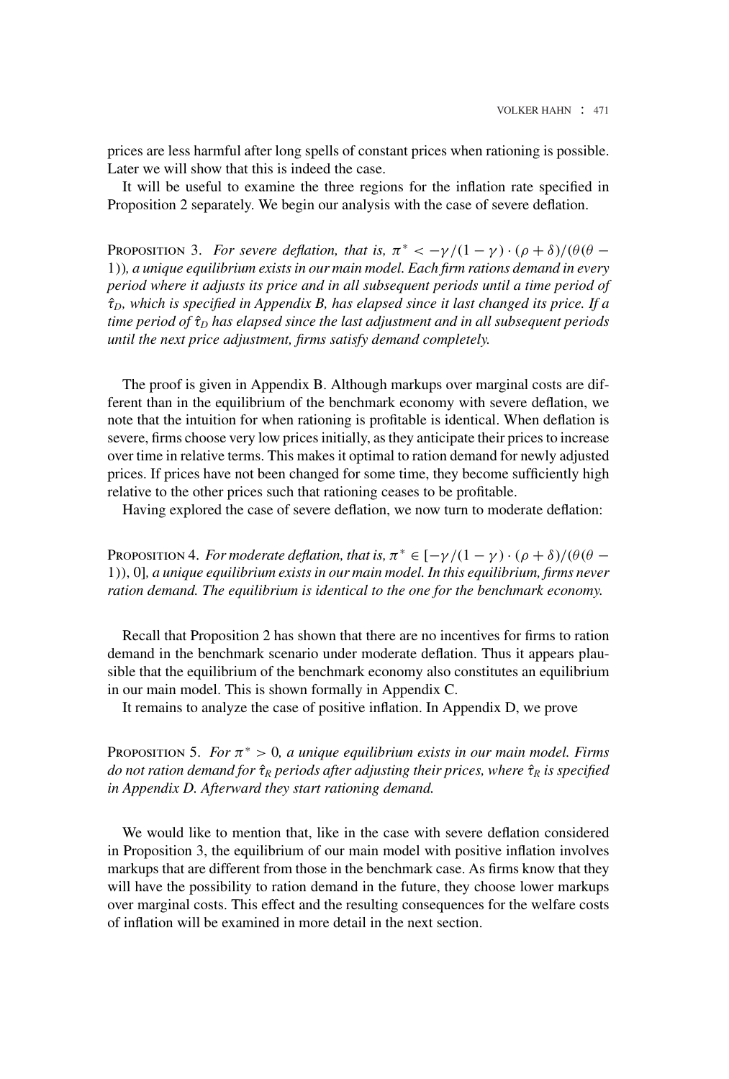prices are less harmful after long spells of constant prices when rationing is possible. Later we will show that this is indeed the case.

It will be useful to examine the three regions for the inflation rate specified in Proposition 2 separately. We begin our analysis with the case of severe deflation.

PROPOSITION 3. *For severe deflation, that is,*  $\pi^* < -\gamma/(1-\gamma) \cdot (\rho + \delta)/(\theta(\theta - \delta))$ 1))*, a unique equilibrium exists in our main model. Each firm rations demand in every period where it adjusts its price and in all subsequent periods until a time period of*  $\hat{\tau}_D$ , which is specified in Appendix B, has elapsed since it last changed its price. If a *time period of*  $\hat{\tau}_D$  *has elapsed since the last adjustment and in all subsequent periods until the next price adjustment, firms satisfy demand completely.*

The proof is given in Appendix B. Although markups over marginal costs are different than in the equilibrium of the benchmark economy with severe deflation, we note that the intuition for when rationing is profitable is identical. When deflation is severe, firms choose very low prices initially, as they anticipate their prices to increase over time in relative terms. This makes it optimal to ration demand for newly adjusted prices. If prices have not been changed for some time, they become sufficiently high relative to the other prices such that rationing ceases to be profitable.

Having explored the case of severe deflation, we now turn to moderate deflation:

PROPOSITION 4. *For moderate deflation, that is,*  $\pi^* \in [-\gamma/(1-\gamma)\cdot(\rho+\delta)/(\theta(\theta-\delta))]$ 1)), 0]*, a unique equilibrium exists in our main model. In this equilibrium, firms never ration demand. The equilibrium is identical to the one for the benchmark economy.*

Recall that Proposition 2 has shown that there are no incentives for firms to ration demand in the benchmark scenario under moderate deflation. Thus it appears plausible that the equilibrium of the benchmark economy also constitutes an equilibrium in our main model. This is shown formally in Appendix C.

It remains to analyze the case of positive inflation. In Appendix D, we prove

PROPOSITION 5. *For*  $\pi^* > 0$ , a unique equilibrium exists in our main model. Firms *do not ration demand for* τˆ*<sup>R</sup> periods after adjusting their prices, where* τˆ*<sup>R</sup> is specified in Appendix D. Afterward they start rationing demand.*

We would like to mention that, like in the case with severe deflation considered in Proposition 3, the equilibrium of our main model with positive inflation involves markups that are different from those in the benchmark case. As firms know that they will have the possibility to ration demand in the future, they choose lower markups over marginal costs. This effect and the resulting consequences for the welfare costs of inflation will be examined in more detail in the next section.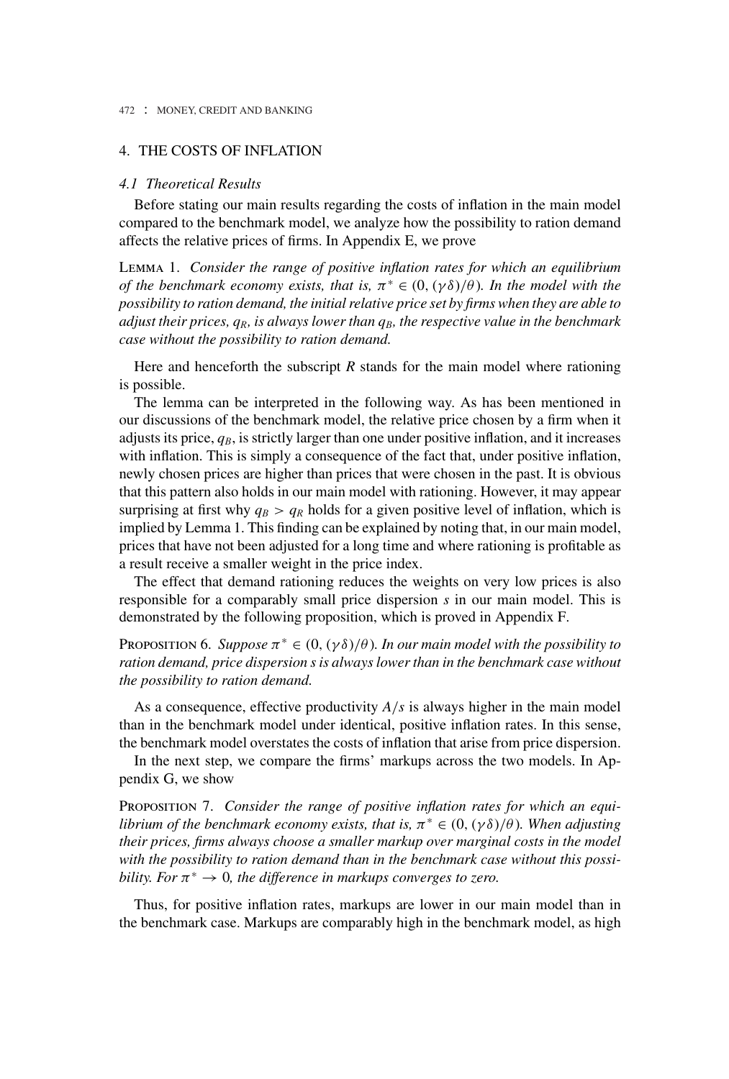## 4. THE COSTS OF INFLATION

#### *4.1 Theoretical Results*

Before stating our main results regarding the costs of inflation in the main model compared to the benchmark model, we analyze how the possibility to ration demand affects the relative prices of firms. In Appendix E, we prove

Lemma 1. *Consider the range of positive inflation rates for which an equilibrium of the benchmark economy exists, that is,*  $\pi^* \in (0, (\gamma \delta)/\theta)$ *. In the model with the possibility to ration demand, the initial relative price set by firms when they are able to adjust their prices,*  $q_R$ *, is always lower than*  $q_B$ *, the respective value in the benchmark case without the possibility to ration demand.*

Here and henceforth the subscript  $R$  stands for the main model where rationing is possible.

The lemma can be interpreted in the following way. As has been mentioned in our discussions of the benchmark model, the relative price chosen by a firm when it adjusts its price,  $q_B$ , is strictly larger than one under positive inflation, and it increases with inflation. This is simply a consequence of the fact that, under positive inflation, newly chosen prices are higher than prices that were chosen in the past. It is obvious that this pattern also holds in our main model with rationing. However, it may appear surprising at first why  $q_B > q_R$  holds for a given positive level of inflation, which is implied by Lemma 1. This finding can be explained by noting that, in our main model, prices that have not been adjusted for a long time and where rationing is profitable as a result receive a smaller weight in the price index.

The effect that demand rationing reduces the weights on very low prices is also responsible for a comparably small price dispersion *s* in our main model. This is demonstrated by the following proposition, which is proved in Appendix F.

PROPOSITION 6. *Suppose*  $\pi^* \in (0, (\gamma \delta)/\theta)$ *. In our main model with the possibility to ration demand, price dispersion s is always lower than in the benchmark case without the possibility to ration demand.*

As a consequence, effective productivity *A*/*s* is always higher in the main model than in the benchmark model under identical, positive inflation rates. In this sense, the benchmark model overstates the costs of inflation that arise from price dispersion.

In the next step, we compare the firms' markups across the two models. In Appendix G, we show

Proposition 7. *Consider the range of positive inflation rates for which an equilibrium of the benchmark economy exists, that is,*  $\pi^* \in (0, (\gamma \delta)/\theta)$ *. When adjusting their prices, firms always choose a smaller markup over marginal costs in the model with the possibility to ration demand than in the benchmark case without this possibility. For*  $\pi^* \to 0$ *, the difference in markups converges to zero.* 

Thus, for positive inflation rates, markups are lower in our main model than in the benchmark case. Markups are comparably high in the benchmark model, as high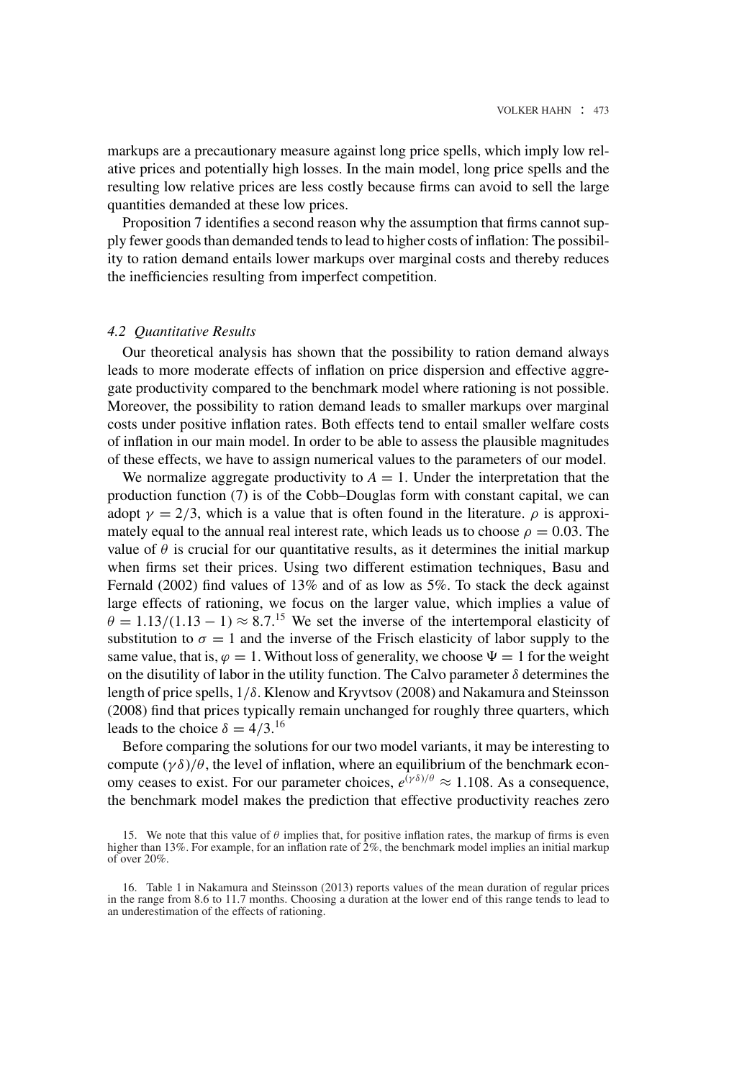markups are a precautionary measure against long price spells, which imply low relative prices and potentially high losses. In the main model, long price spells and the resulting low relative prices are less costly because firms can avoid to sell the large quantities demanded at these low prices.

Proposition 7 identifies a second reason why the assumption that firms cannot supply fewer goods than demanded tends to lead to higher costs of inflation: The possibility to ration demand entails lower markups over marginal costs and thereby reduces the inefficiencies resulting from imperfect competition.

#### *4.2 Quantitative Results*

Our theoretical analysis has shown that the possibility to ration demand always leads to more moderate effects of inflation on price dispersion and effective aggregate productivity compared to the benchmark model where rationing is not possible. Moreover, the possibility to ration demand leads to smaller markups over marginal costs under positive inflation rates. Both effects tend to entail smaller welfare costs of inflation in our main model. In order to be able to assess the plausible magnitudes of these effects, we have to assign numerical values to the parameters of our model.

We normalize aggregate productivity to  $A = 1$ . Under the interpretation that the production function (7) is of the Cobb–Douglas form with constant capital, we can adopt  $\gamma = 2/3$ , which is a value that is often found in the literature.  $\rho$  is approximately equal to the annual real interest rate, which leads us to choose  $\rho = 0.03$ . The value of  $\theta$  is crucial for our quantitative results, as it determines the initial markup when firms set their prices. Using two different estimation techniques, Basu and Fernald (2002) find values of 13% and of as low as 5%. To stack the deck against large effects of rationing, we focus on the larger value, which implies a value of  $\theta = 1.13/(1.13 - 1) \approx 8.7^{15}$  We set the inverse of the intertemporal elasticity of substitution to  $\sigma = 1$  and the inverse of the Frisch elasticity of labor supply to the same value, that is,  $\varphi = 1$ . Without loss of generality, we choose  $\Psi = 1$  for the weight on the disutility of labor in the utility function. The Calvo parameter  $\delta$  determines the length of price spells, 1/δ. Klenow and Kryvtsov (2008) and Nakamura and Steinsson (2008) find that prices typically remain unchanged for roughly three quarters, which leads to the choice  $\delta = 4/3$ .<sup>16</sup>

Before comparing the solutions for our two model variants, it may be interesting to compute  $(\gamma \delta)/\theta$ , the level of inflation, where an equilibrium of the benchmark economy ceases to exist. For our parameter choices,  $e^{(\gamma \delta)/\theta} \approx 1.108$ . As a consequence, the benchmark model makes the prediction that effective productivity reaches zero

<sup>15.</sup> We note that this value of  $\theta$  implies that, for positive inflation rates, the markup of firms is even higher than 13%. For example, for an inflation rate of 2%, the benchmark model implies an initial markup of over 20%.

<sup>16.</sup> Table 1 in Nakamura and Steinsson (2013) reports values of the mean duration of regular prices in the range from 8.6 to 11.7 months. Choosing a duration at the lower end of this range tends to lead to an underestimation of the effects of rationing.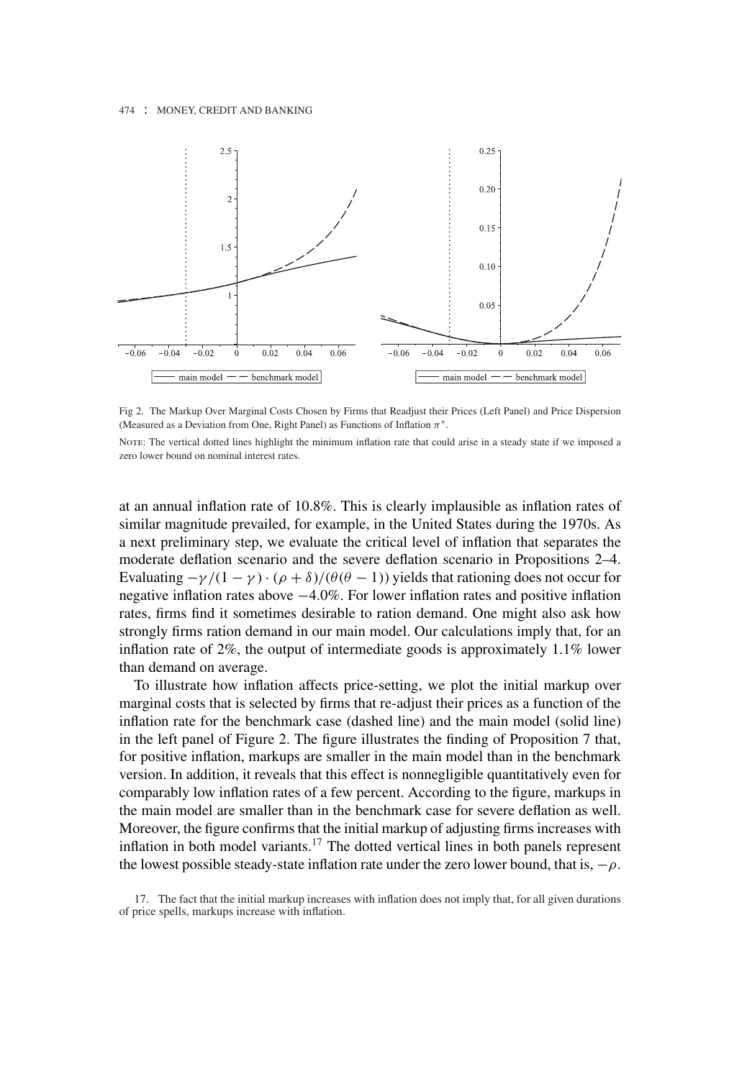

Fig 2. The Markup Over Marginal Costs Chosen by Firms that Readjust their Prices (Left Panel) and Price Dispersion (Measured as a Deviation from One, Right Panel) as Functions of Inflation  $\pi^*$ .

NOTE: The vertical dotted lines highlight the minimum inflation rate that could arise in a steady state if we imposed a zero lower bound on nominal interest rates.

at an annual inflation rate of 10.8%. This is clearly implausible as inflation rates of similar magnitude prevailed, for example, in the United States during the 1970s. As a next preliminary step, we evaluate the critical level of inflation that separates the moderate deflation scenario and the severe deflation scenario in Propositions 2–4. Evaluating  $-\gamma/(1-\gamma)\cdot(\rho+\delta)/(\theta(\theta-1))$  yields that rationing does not occur for negative inflation rates above −4.0%. For lower inflation rates and positive inflation rates, firms find it sometimes desirable to ration demand. One might also ask how strongly firms ration demand in our main model. Our calculations imply that, for an inflation rate of 2%, the output of intermediate goods is approximately 1.1% lower than demand on average.

To illustrate how inflation affects price-setting, we plot the initial markup over marginal costs that is selected by firms that re-adjust their prices as a function of the inflation rate for the benchmark case (dashed line) and the main model (solid line) in the left panel of Figure 2. The figure illustrates the finding of Proposition 7 that, for positive inflation, markups are smaller in the main model than in the benchmark version. In addition, it reveals that this effect is nonnegligible quantitatively even for comparably low inflation rates of a few percent. According to the figure, markups in the main model are smaller than in the benchmark case for severe deflation as well. Moreover, the figure confirms that the initial markup of adjusting firms increases with inflation in both model variants.<sup>17</sup> The dotted vertical lines in both panels represent the lowest possible steady-state inflation rate under the zero lower bound, that is,  $-\rho$ .

<sup>17.</sup> The fact that the initial markup increases with inflation does not imply that, for all given durations of price spells, markups increase with inflation.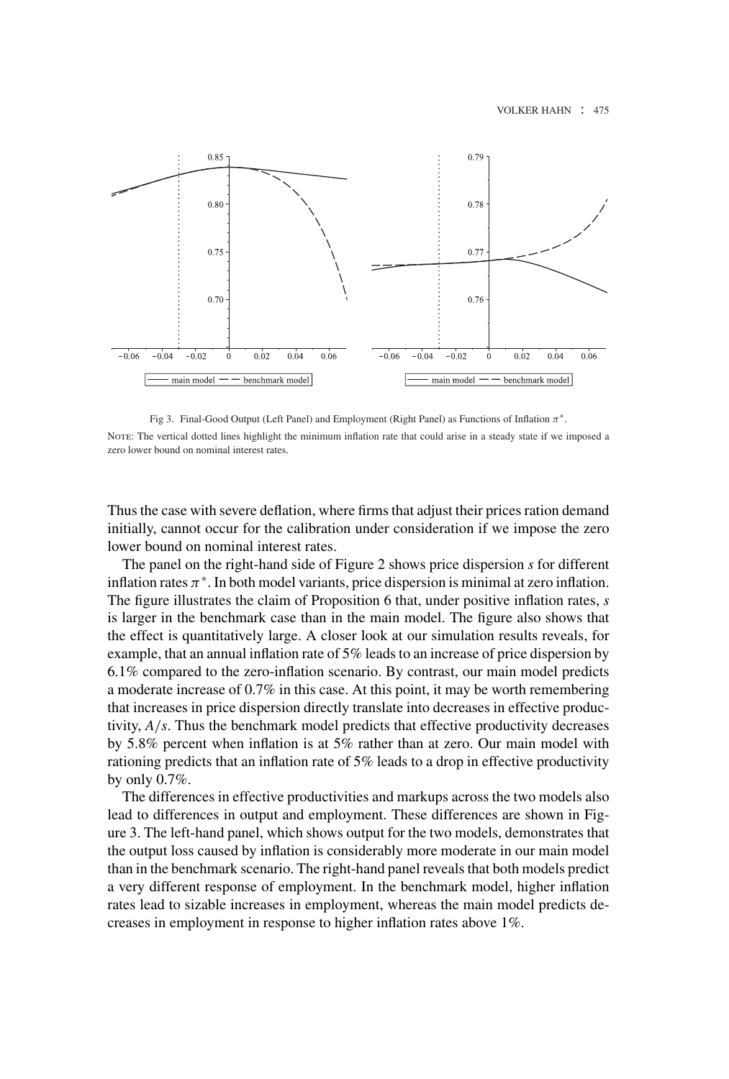

Fig 3. Final-Good Output (Left Panel) and Employment (Right Panel) as Functions of Inflation π∗.

Note: The vertical dotted lines highlight the minimum inflation rate that could arise in a steady state if we imposed a zero lower bound on nominal interest rates.

Thus the case with severe deflation, where firms that adjust their prices ration demand initially, cannot occur for the calibration under consideration if we impose the zero lower bound on nominal interest rates.

The panel on the right-hand side of Figure 2 shows price dispersion *s* for different inflation rates  $\pi^*$ . In both model variants, price dispersion is minimal at zero inflation. The figure illustrates the claim of Proposition 6 that, under positive inflation rates, *s* is larger in the benchmark case than in the main model. The figure also shows that the effect is quantitatively large. A closer look at our simulation results reveals, for example, that an annual inflation rate of 5% leads to an increase of price dispersion by 6.1% compared to the zero-inflation scenario. By contrast, our main model predicts a moderate increase of 0.7% in this case. At this point, it may be worth remembering that increases in price dispersion directly translate into decreases in effective productivity, *A*/*s*. Thus the benchmark model predicts that effective productivity decreases by 5.8% percent when inflation is at 5% rather than at zero. Our main model with rationing predicts that an inflation rate of 5% leads to a drop in effective productivity by only 0.7%.

The differences in effective productivities and markups across the two models also lead to differences in output and employment. These differences are shown in Figure 3. The left-hand panel, which shows output for the two models, demonstrates that the output loss caused by inflation is considerably more moderate in our main model than in the benchmark scenario. The right-hand panel reveals that both models predict a very different response of employment. In the benchmark model, higher inflation rates lead to sizable increases in employment, whereas the main model predicts decreases in employment in response to higher inflation rates above 1%.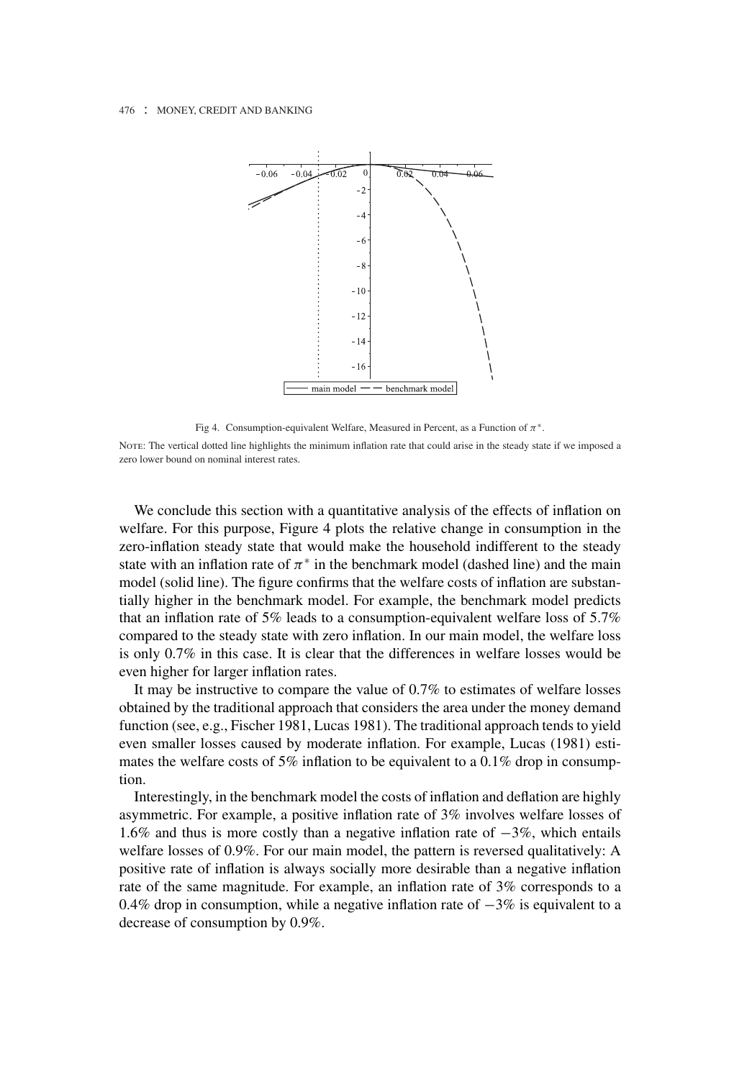

Fig 4. Consumption-equivalent Welfare, Measured in Percent, as a Function of  $\pi^*$ .

Note: The vertical dotted line highlights the minimum inflation rate that could arise in the steady state if we imposed a zero lower bound on nominal interest rates.

We conclude this section with a quantitative analysis of the effects of inflation on welfare. For this purpose, Figure 4 plots the relative change in consumption in the zero-inflation steady state that would make the household indifferent to the steady state with an inflation rate of  $\pi^*$  in the benchmark model (dashed line) and the main model (solid line). The figure confirms that the welfare costs of inflation are substantially higher in the benchmark model. For example, the benchmark model predicts that an inflation rate of 5% leads to a consumption-equivalent welfare loss of 5.7% compared to the steady state with zero inflation. In our main model, the welfare loss is only 0.7% in this case. It is clear that the differences in welfare losses would be even higher for larger inflation rates.

It may be instructive to compare the value of 0.7% to estimates of welfare losses obtained by the traditional approach that considers the area under the money demand function (see, e.g., Fischer 1981, Lucas 1981). The traditional approach tends to yield even smaller losses caused by moderate inflation. For example, Lucas (1981) estimates the welfare costs of 5% inflation to be equivalent to a 0.1% drop in consumption.

Interestingly, in the benchmark model the costs of inflation and deflation are highly asymmetric. For example, a positive inflation rate of 3% involves welfare losses of 1.6% and thus is more costly than a negative inflation rate of −3%, which entails welfare losses of 0.9%. For our main model, the pattern is reversed qualitatively: A positive rate of inflation is always socially more desirable than a negative inflation rate of the same magnitude. For example, an inflation rate of 3% corresponds to a 0.4% drop in consumption, while a negative inflation rate of −3% is equivalent to a decrease of consumption by 0.9%.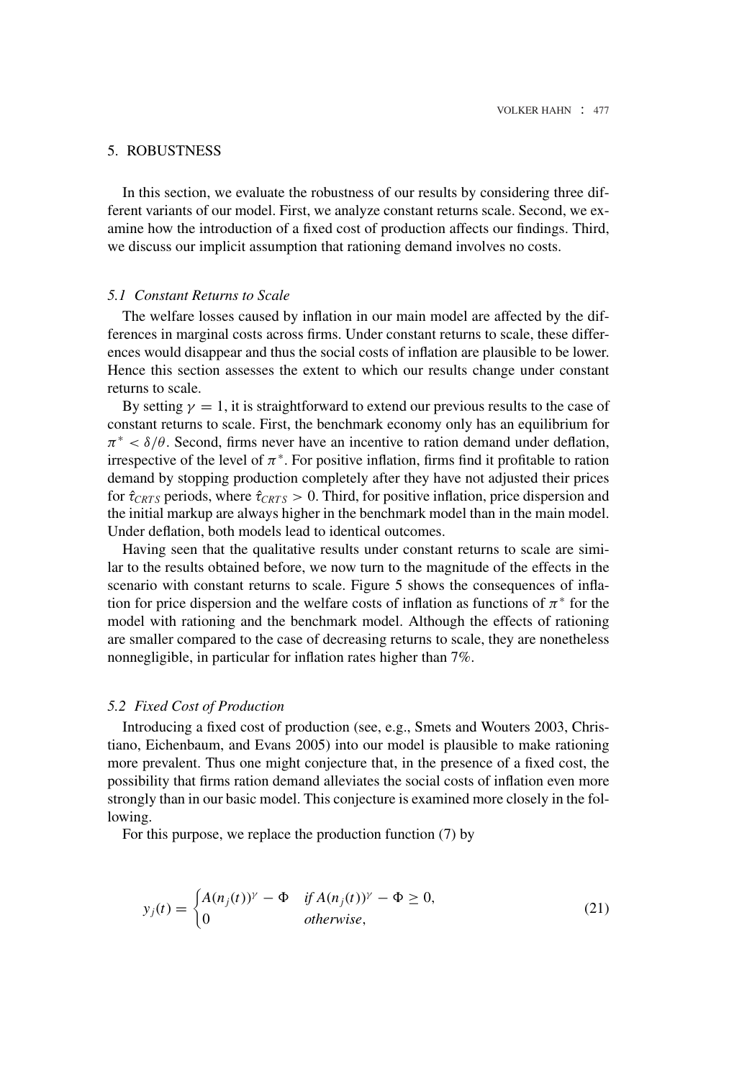## 5. ROBUSTNESS

In this section, we evaluate the robustness of our results by considering three different variants of our model. First, we analyze constant returns scale. Second, we examine how the introduction of a fixed cost of production affects our findings. Third, we discuss our implicit assumption that rationing demand involves no costs.

## *5.1 Constant Returns to Scale*

The welfare losses caused by inflation in our main model are affected by the differences in marginal costs across firms. Under constant returns to scale, these differences would disappear and thus the social costs of inflation are plausible to be lower. Hence this section assesses the extent to which our results change under constant returns to scale.

By setting  $\gamma = 1$ , it is straightforward to extend our previous results to the case of constant returns to scale. First, the benchmark economy only has an equilibrium for  $\pi^* < \delta/\theta$ . Second, firms never have an incentive to ration demand under deflation, irrespective of the level of  $\pi^*$ . For positive inflation, firms find it profitable to ration demand by stopping production completely after they have not adjusted their prices for  $\hat{\tau}_{CRTS}$  periods, where  $\hat{\tau}_{CRTS} > 0$ . Third, for positive inflation, price dispersion and the initial markup are always higher in the benchmark model than in the main model. Under deflation, both models lead to identical outcomes.

Having seen that the qualitative results under constant returns to scale are similar to the results obtained before, we now turn to the magnitude of the effects in the scenario with constant returns to scale. Figure 5 shows the consequences of inflation for price dispersion and the welfare costs of inflation as functions of  $\pi^*$  for the model with rationing and the benchmark model. Although the effects of rationing are smaller compared to the case of decreasing returns to scale, they are nonetheless nonnegligible, in particular for inflation rates higher than 7%.

#### *5.2 Fixed Cost of Production*

Introducing a fixed cost of production (see, e.g., Smets and Wouters 2003, Christiano, Eichenbaum, and Evans 2005) into our model is plausible to make rationing more prevalent. Thus one might conjecture that, in the presence of a fixed cost, the possibility that firms ration demand alleviates the social costs of inflation even more strongly than in our basic model. This conjecture is examined more closely in the following.

For this purpose, we replace the production function (7) by

$$
y_j(t) = \begin{cases} A(n_j(t))^\gamma - \Phi & \text{if } A(n_j(t))^\gamma - \Phi \ge 0, \\ 0 & \text{otherwise,} \end{cases}
$$
 (21)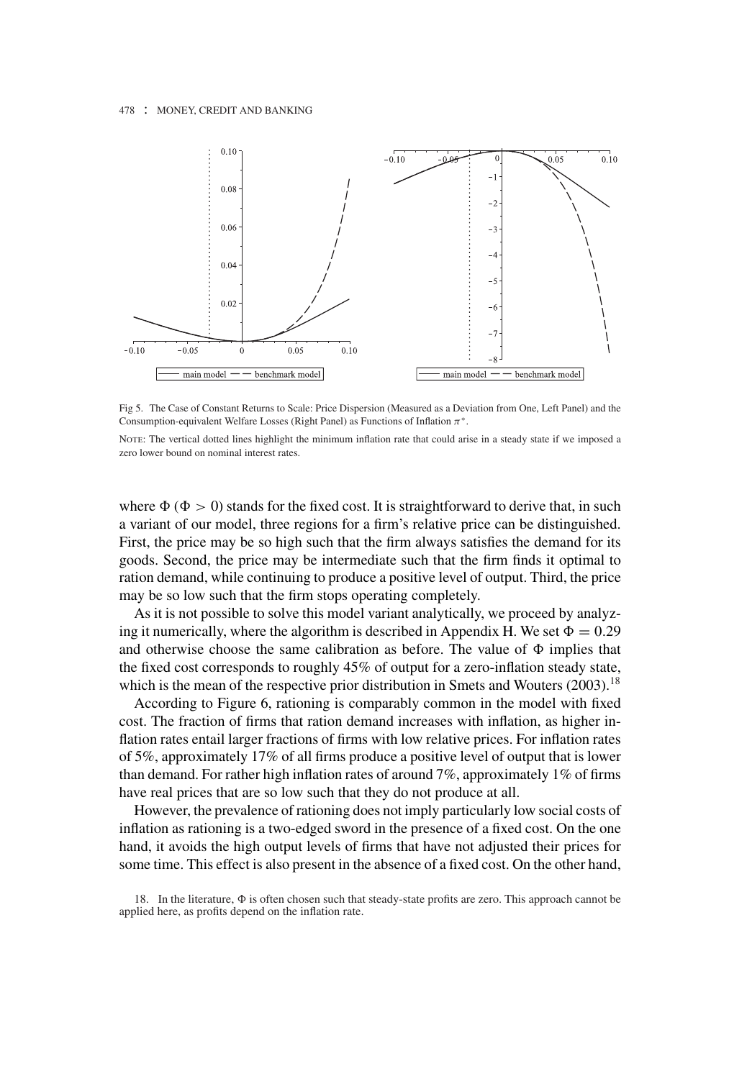

Fig 5. The Case of Constant Returns to Scale: Price Dispersion (Measured as a Deviation from One, Left Panel) and the Consumption-equivalent Welfare Losses (Right Panel) as Functions of Inflation  $\pi^*$ .

NOTE: The vertical dotted lines highlight the minimum inflation rate that could arise in a steady state if we imposed a zero lower bound on nominal interest rates.

where  $\Phi$  ( $\Phi > 0$ ) stands for the fixed cost. It is straightforward to derive that, in such a variant of our model, three regions for a firm's relative price can be distinguished. First, the price may be so high such that the firm always satisfies the demand for its goods. Second, the price may be intermediate such that the firm finds it optimal to ration demand, while continuing to produce a positive level of output. Third, the price may be so low such that the firm stops operating completely.

As it is not possible to solve this model variant analytically, we proceed by analyzing it numerically, where the algorithm is described in Appendix H. We set  $\Phi = 0.29$ and otherwise choose the same calibration as before. The value of  $\Phi$  implies that the fixed cost corresponds to roughly 45% of output for a zero-inflation steady state, which is the mean of the respective prior distribution in Smets and Wouters  $(2003)$ <sup>18</sup>

According to Figure 6, rationing is comparably common in the model with fixed cost. The fraction of firms that ration demand increases with inflation, as higher inflation rates entail larger fractions of firms with low relative prices. For inflation rates of 5%, approximately 17% of all firms produce a positive level of output that is lower than demand. For rather high inflation rates of around 7%, approximately 1% of firms have real prices that are so low such that they do not produce at all.

However, the prevalence of rationing does not imply particularly low social costs of inflation as rationing is a two-edged sword in the presence of a fixed cost. On the one hand, it avoids the high output levels of firms that have not adjusted their prices for some time. This effect is also present in the absence of a fixed cost. On the other hand,

<sup>18.</sup> In the literature,  $\Phi$  is often chosen such that steady-state profits are zero. This approach cannot be applied here, as profits depend on the inflation rate.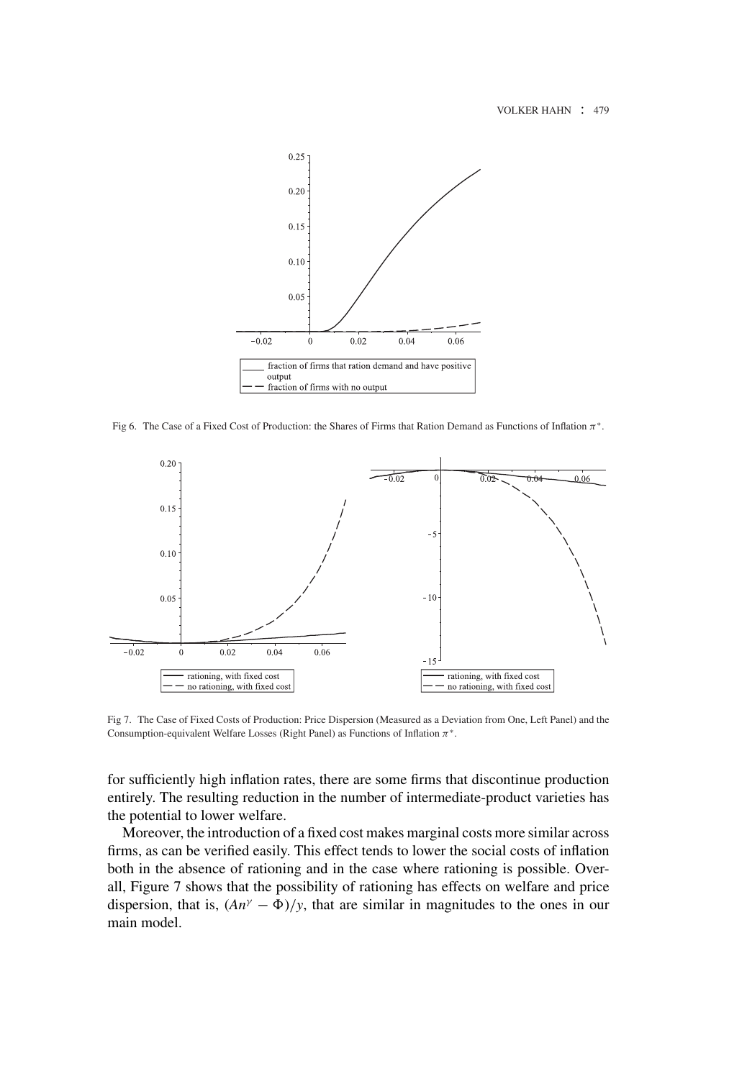

Fig 6. The Case of a Fixed Cost of Production: the Shares of Firms that Ration Demand as Functions of Inflation π∗.



Fig 7. The Case of Fixed Costs of Production: Price Dispersion (Measured as a Deviation from One, Left Panel) and the Consumption-equivalent Welfare Losses (Right Panel) as Functions of Inflation  $\pi^*$ .

for sufficiently high inflation rates, there are some firms that discontinue production entirely. The resulting reduction in the number of intermediate-product varieties has the potential to lower welfare.

Moreover, the introduction of a fixed cost makes marginal costs more similar across firms, as can be verified easily. This effect tends to lower the social costs of inflation both in the absence of rationing and in the case where rationing is possible. Overall, Figure 7 shows that the possibility of rationing has effects on welfare and price dispersion, that is,  $(An^{\gamma} - \Phi)/y$ , that are similar in magnitudes to the ones in our main model.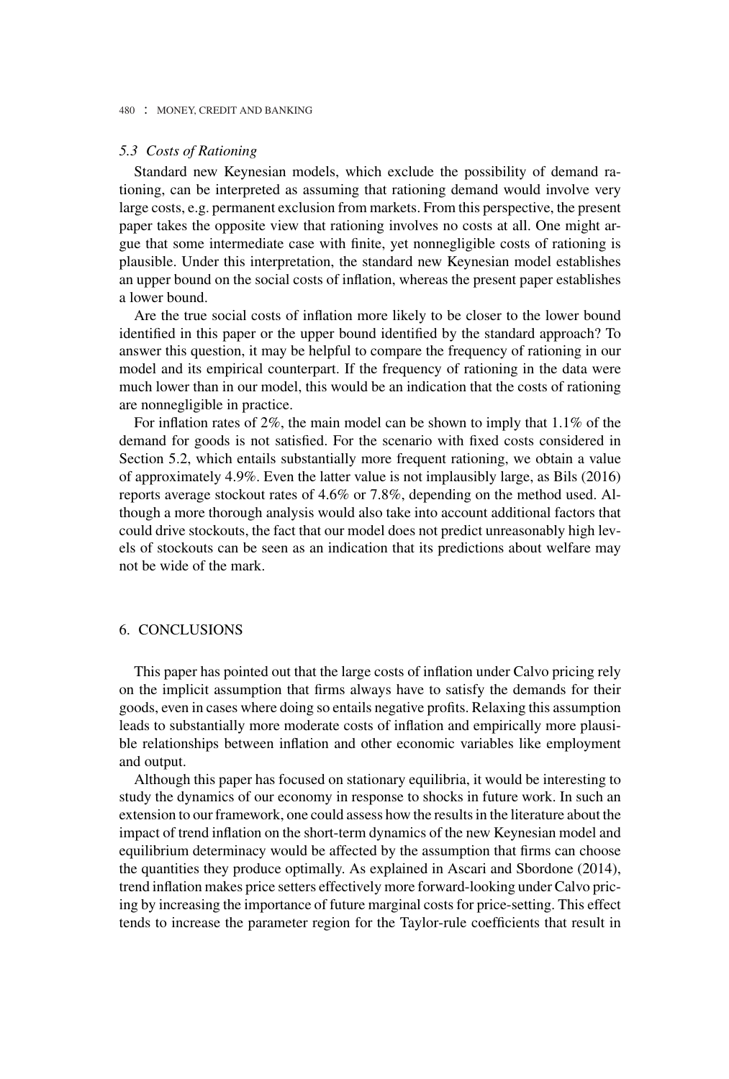#### *5.3 Costs of Rationing*

Standard new Keynesian models, which exclude the possibility of demand rationing, can be interpreted as assuming that rationing demand would involve very large costs, e.g. permanent exclusion from markets. From this perspective, the present paper takes the opposite view that rationing involves no costs at all. One might argue that some intermediate case with finite, yet nonnegligible costs of rationing is plausible. Under this interpretation, the standard new Keynesian model establishes an upper bound on the social costs of inflation, whereas the present paper establishes a lower bound.

Are the true social costs of inflation more likely to be closer to the lower bound identified in this paper or the upper bound identified by the standard approach? To answer this question, it may be helpful to compare the frequency of rationing in our model and its empirical counterpart. If the frequency of rationing in the data were much lower than in our model, this would be an indication that the costs of rationing are nonnegligible in practice.

For inflation rates of 2%, the main model can be shown to imply that 1.1% of the demand for goods is not satisfied. For the scenario with fixed costs considered in Section 5.2, which entails substantially more frequent rationing, we obtain a value of approximately 4.9%. Even the latter value is not implausibly large, as Bils (2016) reports average stockout rates of 4.6% or 7.8%, depending on the method used. Although a more thorough analysis would also take into account additional factors that could drive stockouts, the fact that our model does not predict unreasonably high levels of stockouts can be seen as an indication that its predictions about welfare may not be wide of the mark.

## 6. CONCLUSIONS

This paper has pointed out that the large costs of inflation under Calvo pricing rely on the implicit assumption that firms always have to satisfy the demands for their goods, even in cases where doing so entails negative profits. Relaxing this assumption leads to substantially more moderate costs of inflation and empirically more plausible relationships between inflation and other economic variables like employment and output.

Although this paper has focused on stationary equilibria, it would be interesting to study the dynamics of our economy in response to shocks in future work. In such an extension to our framework, one could assess how the results in the literature about the impact of trend inflation on the short-term dynamics of the new Keynesian model and equilibrium determinacy would be affected by the assumption that firms can choose the quantities they produce optimally. As explained in Ascari and Sbordone (2014), trend inflation makes price setters effectively more forward-looking under Calvo pricing by increasing the importance of future marginal costs for price-setting. This effect tends to increase the parameter region for the Taylor-rule coefficients that result in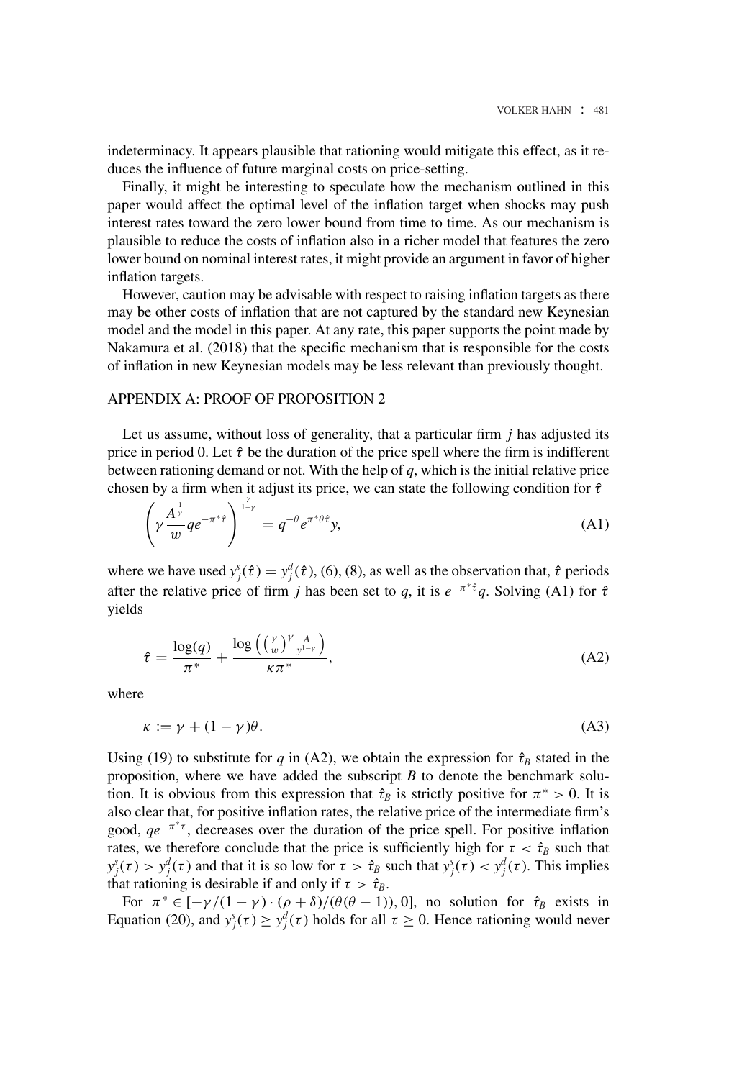indeterminacy. It appears plausible that rationing would mitigate this effect, as it reduces the influence of future marginal costs on price-setting.

Finally, it might be interesting to speculate how the mechanism outlined in this paper would affect the optimal level of the inflation target when shocks may push interest rates toward the zero lower bound from time to time. As our mechanism is plausible to reduce the costs of inflation also in a richer model that features the zero lower bound on nominal interest rates, it might provide an argument in favor of higher inflation targets.

However, caution may be advisable with respect to raising inflation targets as there may be other costs of inflation that are not captured by the standard new Keynesian model and the model in this paper. At any rate, this paper supports the point made by Nakamura et al. (2018) that the specific mechanism that is responsible for the costs of inflation in new Keynesian models may be less relevant than previously thought.

#### APPENDIX A: PROOF OF PROPOSITION 2

Let us assume, without loss of generality, that a particular firm *j* has adjusted its price in period 0. Let  $\hat{\tau}$  be the duration of the price spell where the firm is indifferent between rationing demand or not. With the help of *q*, which is the initial relative price chosen by a firm when it adjust its price, we can state the following condition for  $\hat{\tau}$ 

$$
\left(\gamma \frac{A^{\frac{1}{\gamma}}}{w} q e^{-\pi^* \hat{\tau}}\right)^{\frac{\gamma}{1-\gamma}} = q^{-\theta} e^{\pi^* \theta \hat{\tau}} y,
$$
\n(A1)

where we have used  $y_j^s(\hat{\tau}) = y_j^d(\hat{\tau})$ , (6), (8), as well as the observation that,  $\hat{\tau}$  periods after the relative price of firm *j* has been set to *q*, it is  $e^{-\pi * \hat{\tau}} q$ . Solving (A1) for  $\hat{\tau}$ yields

$$
\hat{\tau} = \frac{\log(q)}{\pi^*} + \frac{\log\left(\left(\frac{\gamma}{w}\right)^{\gamma} \frac{A}{y^{1-\gamma}}\right)}{\kappa \pi^*},\tag{A2}
$$

where

$$
\kappa := \gamma + (1 - \gamma)\theta. \tag{A3}
$$

Using (19) to substitute for *q* in (A2), we obtain the expression for  $\hat{\tau}_B$  stated in the proposition, where we have added the subscript *B* to denote the benchmark solution. It is obvious from this expression that  $\hat{\tau}_B$  is strictly positive for  $\pi^* > 0$ . It is also clear that, for positive inflation rates, the relative price of the intermediate firm's good,  $q e^{-\pi^* \tau}$ , decreases over the duration of the price spell. For positive inflation rates, we therefore conclude that the price is sufficiently high for  $\tau < \hat{\tau}_B$  such that  $y_j^s(\tau) > y_j^d(\tau)$  and that it is so low for  $\tau > \hat{\tau}_B$  such that  $y_j^s(\tau) < y_j^d(\tau)$ . This implies that rationing is desirable if and only if  $\tau > \hat{\tau}_B$ .

For  $\pi^* \in [-\gamma/(1-\gamma)\cdot (\rho+\delta)/(\theta(\theta-1)), 0]$ , no solution for  $\hat{\tau}_B$  exists in Equation (20), and  $y_j^s(\tau) \ge y_j^d(\tau)$  holds for all  $\tau \ge 0$ . Hence rationing would never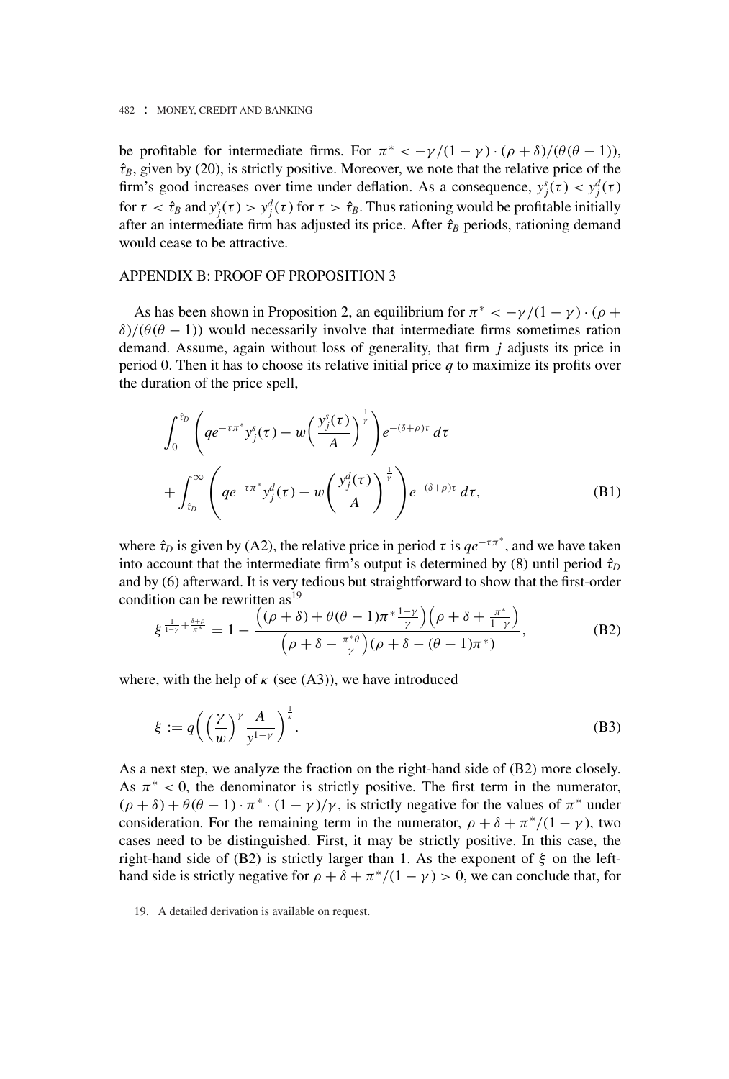be profitable for intermediate firms. For  $\pi^* < -\gamma/(1 - \gamma) \cdot (\rho + \delta)/(\theta(\theta - 1)),$  $\hat{\tau}_B$ , given by (20), is strictly positive. Moreover, we note that the relative price of the firm's good increases over time under deflation. As a consequence,  $y_j^s(\tau) < y_j^d(\tau)$ for  $\tau < \hat{\tau}_B$  and  $y_j^s(\tau) > y_j^d(\tau)$  for  $\tau > \hat{\tau}_B$ . Thus rationing would be profitable initially after an intermediate firm has adjusted its price. After  $\hat{\tau}_B$  periods, rationing demand would cease to be attractive.

#### APPENDIX B: PROOF OF PROPOSITION 3

As has been shown in Proposition 2, an equilibrium for  $\pi^* < -\gamma/(1 - \gamma) \cdot (\rho + \gamma)$ δ)/( $θ(θ - 1)$ ) would necessarily involve that intermediate firms sometimes ration demand. Assume, again without loss of generality, that firm *j* adjusts its price in period 0. Then it has to choose its relative initial price *q* to maximize its profits over the duration of the price spell,

$$
\int_0^{\hat{\tau}_D} \left( q e^{-\tau \pi^*} y_j^s(\tau) - w \left( \frac{y_j^s(\tau)}{A} \right)^{\frac{1}{\gamma}} \right) e^{-(\delta + \rho)\tau} d\tau
$$
  
+ 
$$
\int_{\hat{\tau}_D}^{\infty} \left( q e^{-\tau \pi^*} y_j^d(\tau) - w \left( \frac{y_j^d(\tau)}{A} \right)^{\frac{1}{\gamma}} \right) e^{-(\delta + \rho)\tau} d\tau,
$$
 (B1)

where  $\hat{\tau}_D$  is given by (A2), the relative price in period  $\tau$  is  $qe^{-\tau \pi^*}$ , and we have taken into account that the intermediate firm's output is determined by (8) until period  $\hat{\tau}_D$ and by (6) afterward. It is very tedious but straightforward to show that the first-order condition can be rewritten as  $19$ 

$$
\xi^{\frac{1}{1-\gamma}+\frac{\delta+\rho}{\pi^*}} = 1 - \frac{\left((\rho+\delta)+\theta(\theta-1)\pi^{\ast}\frac{1-\gamma}{\gamma}\right)\left(\rho+\delta+\frac{\pi^{\ast}}{1-\gamma}\right)}{\left(\rho+\delta-\frac{\pi^{\ast}\theta}{\gamma}\right)(\rho+\delta-(\theta-1)\pi^{\ast})},
$$
(B2)

where, with the help of  $\kappa$  (see (A3)), we have introduced

$$
\xi := q \left( \left( \frac{\gamma}{w} \right)^{\gamma} \frac{A}{y^{1-\gamma}} \right)^{\frac{1}{\kappa}}.
$$
\n(B3)

As a next step, we analyze the fraction on the right-hand side of (B2) more closely. As  $\pi^*$  < 0, the denominator is strictly positive. The first term in the numerator,  $(\rho + \delta) + \theta(\theta - 1) \cdot \pi^* \cdot (1 - \gamma)/\gamma$ , is strictly negative for the values of  $\pi^*$  under consideration. For the remaining term in the numerator,  $\rho + \delta + \pi^*/(1 - \gamma)$ , two cases need to be distinguished. First, it may be strictly positive. In this case, the right-hand side of (B2) is strictly larger than 1. As the exponent of  $\xi$  on the lefthand side is strictly negative for  $\rho + \delta + \pi^*/(1 - \gamma) > 0$ , we can conclude that, for

19. A detailed derivation is available on request.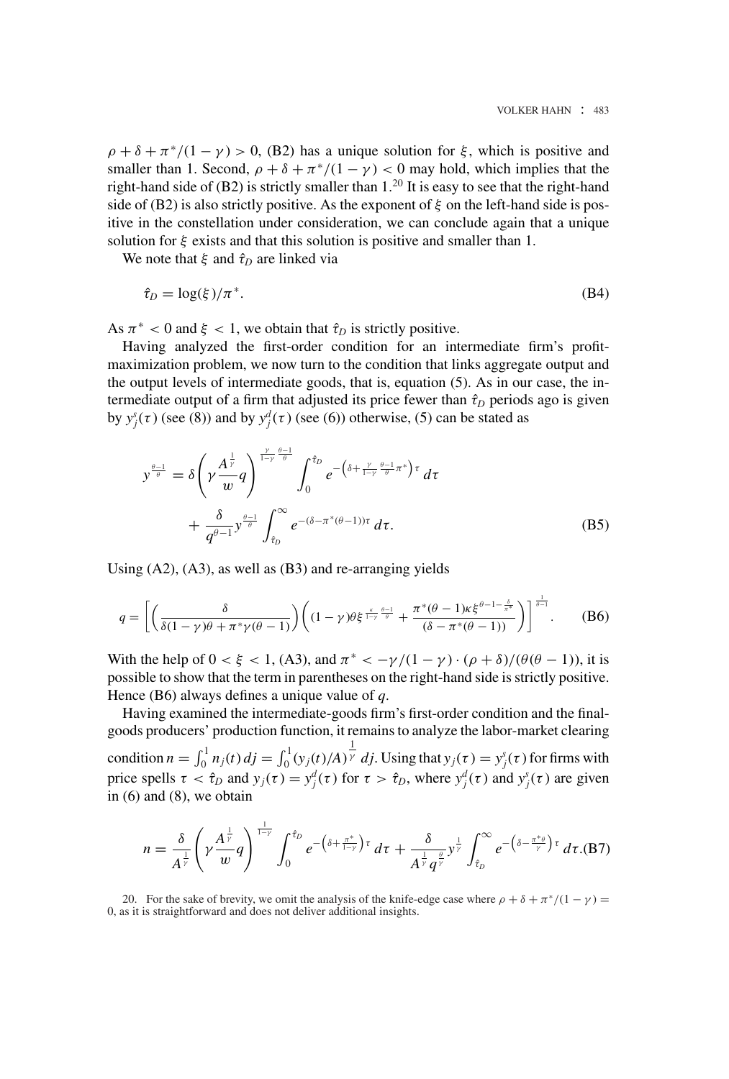$\rho + \delta + \pi^*/(1-\gamma) > 0$ , (B2) has a unique solution for ξ, which is positive and smaller than 1. Second,  $\rho + \delta + \pi^*/(1 - \gamma) < 0$  may hold, which implies that the right-hand side of  $(B2)$  is strictly smaller than  $1.^{20}$  It is easy to see that the right-hand side of (B2) is also strictly positive. As the exponent of  $\xi$  on the left-hand side is positive in the constellation under consideration, we can conclude again that a unique solution for  $\xi$  exists and that this solution is positive and smaller than 1.

We note that  $\xi$  and  $\hat{\tau}_D$  are linked via

$$
\hat{\tau}_D = \log(\xi)/\pi^*.\tag{B4}
$$

As  $\pi^*$  < 0 and  $\xi$  < 1, we obtain that  $\hat{\tau}_D$  is strictly positive.

Having analyzed the first-order condition for an intermediate firm's profitmaximization problem, we now turn to the condition that links aggregate output and the output levels of intermediate goods, that is, equation (5). As in our case, the intermediate output of a firm that adjusted its price fewer than  $\hat{\tau}_D$  periods ago is given by  $y_j^s(\tau)$  (see (8)) and by  $y_j^d(\tau)$  (see (6)) otherwise, (5) can be stated as

$$
y^{\frac{\theta-1}{\theta}} = \delta \left( \gamma \frac{A^{\frac{1}{\gamma}}}{w} q \right)^{\frac{\gamma}{1-\gamma} \frac{\theta-1}{\theta}} \int_0^{\hat{\tau}_D} e^{-\left( \delta + \frac{\gamma}{1-\gamma} \frac{\theta-1}{\theta} \pi^* \right) \tau} d\tau + \frac{\delta}{q^{\theta-1}} y^{\frac{\theta-1}{\theta}} \int_{\hat{\tau}_D}^{\infty} e^{-(\delta - \pi^*(\theta-1))\tau} d\tau.
$$
 (B5)

Using (A2), (A3), as well as (B3) and re-arranging yields

$$
q = \left[ \left( \frac{\delta}{\delta(1-\gamma)\theta + \pi^* \gamma(\theta-1)} \right) \left( (1-\gamma)\theta \xi^{\frac{\kappa}{1-\gamma}\frac{\theta-1}{\theta}} + \frac{\pi^*(\theta-1)\kappa \xi^{\theta-1-\frac{\delta}{\pi^*}}}{(\delta-\pi^*(\theta-1))} \right) \right]^{\frac{1}{\theta-1}}. \tag{B6}
$$

With the help of  $0 < \xi < 1$ , (A3), and  $\pi^* < -\gamma/(1 - \gamma) \cdot (\rho + \delta)/(\theta(\theta - 1))$ , it is possible to show that the term in parentheses on the right-hand side is strictly positive. Hence (B6) always defines a unique value of *q*.

Having examined the intermediate-goods firm's first-order condition and the finalgoods producers' production function, it remains to analyze the labor-market clearing condition  $n = \int_0^1 n_j(t) dt = \int_0^1 (y_j(t)/A)^{\frac{1}{\gamma}} dt$ . Using that  $y_j(\tau) = y_j^s(\tau)$  for firms with price spells  $\tau < \hat{\tau}_D$  and  $y_j(\tau) = y_j^d(\tau)$  for  $\tau > \hat{\tau}_D$ , where  $y_j^d(\tau)$  and  $y_j^s(\tau)$  are given in (6) and (8), we obtain

$$
n = \frac{\delta}{A^{\frac{1}{\gamma}}} \left(\gamma \frac{A^{\frac{1}{\gamma}}}{w} q\right)^{\frac{1}{1-\gamma}} \int_0^{\hat{\tau}_D} e^{-\left(\delta + \frac{\pi^*}{1-\gamma}\right)\tau} d\tau + \frac{\delta}{A^{\frac{1}{\gamma}} q^{\frac{\theta}{\gamma}}} y^{\frac{1}{\gamma}} \int_{\hat{\tau}_D}^{\infty} e^{-\left(\delta - \frac{\pi^*\theta}{\gamma}\right)\tau} d\tau. (B7)
$$

20. For the sake of brevity, we omit the analysis of the knife-edge case where  $\rho + \delta + \pi^*/(1 - \gamma) = 0$ , as it is straightforward and does not deliver additional insights.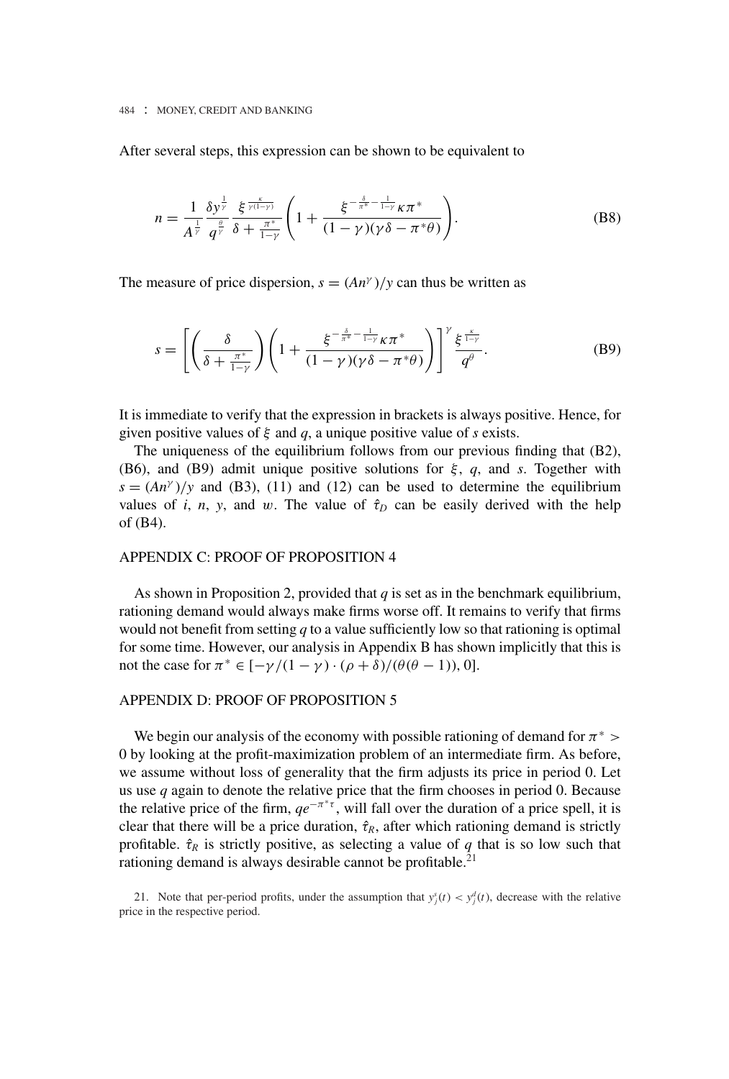After several steps, this expression can be shown to be equivalent to

$$
n = \frac{1}{A^{\frac{1}{\gamma}}} \frac{\delta y^{\frac{1}{\gamma}}}{q^{\frac{\theta}{\gamma}}} \frac{\xi^{\frac{\kappa}{\gamma(1-\gamma)}}}{\delta + \frac{\pi^*}{1-\gamma}} \left( 1 + \frac{\xi^{-\frac{\delta}{\pi^*} - \frac{1}{1-\gamma}} \kappa \pi^*}{(1-\gamma)(\gamma \delta - \pi^* \theta)} \right). \tag{B8}
$$

The measure of price dispersion,  $s = (An^{\gamma})/ \gamma$  can thus be written as

$$
s = \left[ \left( \frac{\delta}{\delta + \frac{\pi^*}{1 - \gamma}} \right) \left( 1 + \frac{\xi^{-\frac{\delta}{\pi^*} - \frac{1}{1 - \gamma}} \kappa \pi^*}{(1 - \gamma)(\gamma \delta - \pi^* \theta)} \right) \right]^\gamma \frac{\xi^{-\kappa}}{q^\theta}.
$$
 (B9)

It is immediate to verify that the expression in brackets is always positive. Hence, for given positive values of ξ and *q*, a unique positive value of *s* exists.

The uniqueness of the equilibrium follows from our previous finding that (B2), (B6), and (B9) admit unique positive solutions for  $\xi$ , *q*, and *s*. Together with  $s = (An^{\gamma})/ \gamma$  and (B3), (11) and (12) can be used to determine the equilibrium values of *i*, *n*, *y*, and *w*. The value of  $\hat{\tau}_D$  can be easily derived with the help of (B4).

### APPENDIX C: PROOF OF PROPOSITION 4

As shown in Proposition 2, provided that *q* is set as in the benchmark equilibrium, rationing demand would always make firms worse off. It remains to verify that firms would not benefit from setting *q* to a value sufficiently low so that rationing is optimal for some time. However, our analysis in Appendix B has shown implicitly that this is not the case for  $\pi^* \in [-\gamma/(1-\gamma)\cdot (\rho+\delta)/(\theta(\theta-1)), 0]$ .

## APPENDIX D: PROOF OF PROPOSITION 5

We begin our analysis of the economy with possible rationing of demand for  $\pi^*$  > 0 by looking at the profit-maximization problem of an intermediate firm. As before, we assume without loss of generality that the firm adjusts its price in period 0. Let us use *q* again to denote the relative price that the firm chooses in period 0. Because the relative price of the firm,  $qe^{-\pi^*\tau}$ , will fall over the duration of a price spell, it is clear that there will be a price duration,  $\hat{\tau}_R$ , after which rationing demand is strictly profitable.  $\hat{\tau}_R$  is strictly positive, as selecting a value of *q* that is so low such that rationing demand is always desirable cannot be profitable. $21$ 

21. Note that per-period profits, under the assumption that  $y_j^s(t) < y_j^d(t)$ , decrease with the relative price in the respective period.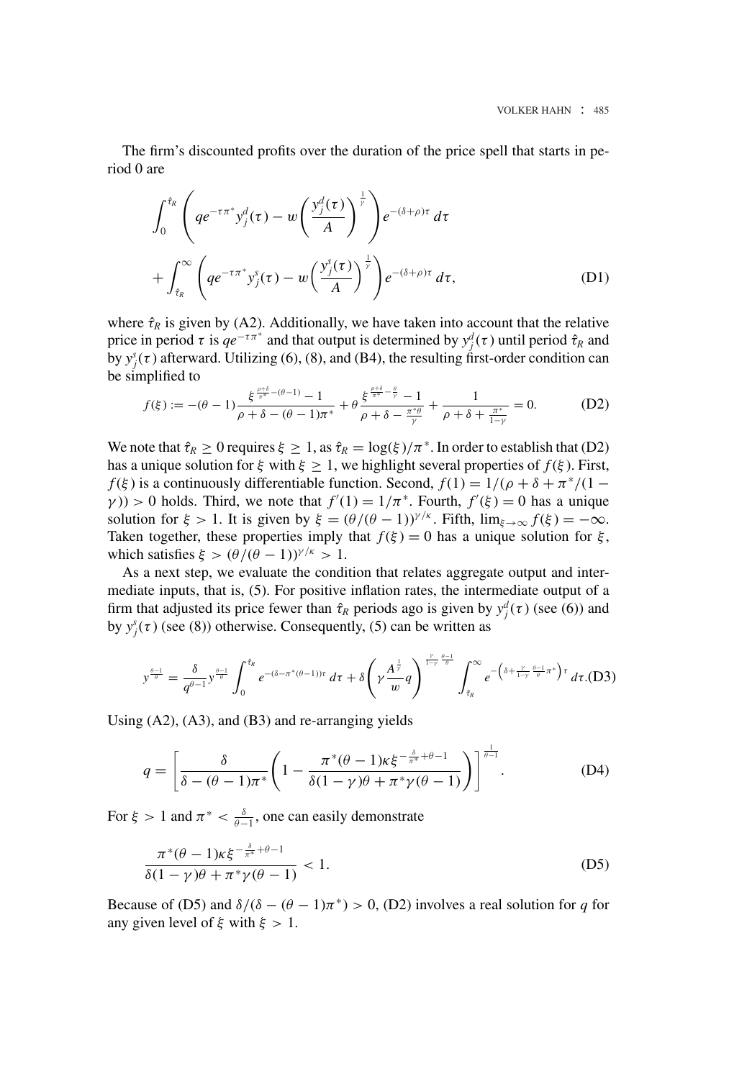The firm's discounted profits over the duration of the price spell that starts in period 0 are

$$
\int_0^{\hat{\tau}_R} \left( q e^{-\tau \pi^* y_j^d}(\tau) - w \left( \frac{y_j^d(\tau)}{A} \right)^{\frac{1}{\gamma}} \right) e^{-(\delta + \rho)\tau} d\tau
$$
  
+ 
$$
\int_{\hat{\tau}_R}^{\infty} \left( q e^{-\tau \pi^* y_j^s}(\tau) - w \left( \frac{y_j^s(\tau)}{A} \right)^{\frac{1}{\gamma}} \right) e^{-(\delta + \rho)\tau} d\tau,
$$
 (D1)

where  $\hat{\tau}_R$  is given by (A2). Additionally, we have taken into account that the relative price in period  $\tau$  is  $qe^{-\tau \pi^*}$  and that output is determined by  $y_j^d(\tau)$  until period  $\hat{\tau}_R$  and by  $y_j^s(\tau)$  afterward. Utilizing (6), (8), and (B4), the resulting first-order condition can be simplified to

$$
f(\xi) := -(\theta - 1) \frac{\xi^{\frac{\rho + \delta}{\pi^*} - (\theta - 1)} - 1}{\rho + \delta - (\theta - 1)\pi^*} + \theta \frac{\xi^{\frac{\rho + \delta}{\pi^*} - \frac{\theta}{\gamma}} - 1}{\rho + \delta - \frac{\pi^* \theta}{\gamma}} + \frac{1}{\rho + \delta + \frac{\pi^*}{1 - \gamma}} = 0.
$$
 (D2)

We note that  $\hat{\tau}_R \ge 0$  requires  $\xi \ge 1$ , as  $\hat{\tau}_R = \log(\xi)/\pi^*$ . In order to establish that (D2) has a unique solution for  $\xi$  with  $\xi \geq 1$ , we highlight several properties of  $f(\xi)$ . First, *f*(ξ) is a continuously differentiable function. Second,  $f(1) = 1/(\rho + \delta + \pi^*/(1 - \delta))$  $\gamma$ )) > 0 holds. Third, we note that  $f'(1) = 1/\pi^*$ . Fourth,  $f'(\xi) = 0$  has a unique solution for  $\xi > 1$ . It is given by  $\xi = (\theta/(\theta - 1))^{1/k}$ . Fifth,  $\lim_{\xi \to \infty} f(\xi) = -\infty$ . Taken together, these properties imply that  $f(\xi) = 0$  has a unique solution for  $\xi$ , which satisfies  $\xi > (\theta/(\theta - 1))^{\gamma/\kappa} > 1$ .

As a next step, we evaluate the condition that relates aggregate output and intermediate inputs, that is, (5). For positive inflation rates, the intermediate output of a firm that adjusted its price fewer than  $\hat{\tau}_R$  periods ago is given by  $y_j^d(\tau)$  (see (6)) and by  $y_j^s(\tau)$  (see (8)) otherwise. Consequently, (5) can be written as

$$
y^{\frac{\theta-1}{\theta}} = \frac{\delta}{q^{\theta-1}} y^{\frac{\theta-1}{\theta}} \int_0^{\hat{\tau}_R} e^{-(\delta-\pi^*(\theta-1))\tau} d\tau + \delta \left(\gamma \frac{A^{\frac{1}{\gamma}}}{w} q\right)^{\frac{\gamma}{1-\gamma} \frac{\theta-1}{\theta}} \int_{\hat{\tau}_R}^{\infty} e^{-\left(\delta + \frac{\gamma}{1-\gamma} \frac{\theta-1}{\theta}\pi^*\right)\tau} d\tau. (D3)
$$

Using  $(A2)$ ,  $(A3)$ , and  $(B3)$  and re-arranging yields

$$
q = \left[\frac{\delta}{\delta - (\theta - 1)\pi^*} \left(1 - \frac{\pi^*(\theta - 1)\kappa \xi^{-\frac{\delta}{\pi^*} + \theta - 1}}{\delta(1 - \gamma)\theta + \pi^* \gamma(\theta - 1)}\right)\right]^{\frac{1}{\theta - 1}}.
$$
 (D4)

For  $\xi > 1$  and  $\pi^* < \frac{\delta}{\theta - 1}$ , one can easily demonstrate

$$
\frac{\pi^*(\theta - 1)\kappa \xi^{-\frac{\delta}{\pi^*} + \theta - 1}}{\delta(1 - \gamma)\theta + \pi^* \gamma(\theta - 1)} < 1. \tag{D5}
$$

Because of (D5) and  $\delta/(\delta - (\theta - 1)\pi^*) > 0$ , (D2) involves a real solution for *q* for any given level of  $\xi$  with  $\xi > 1$ .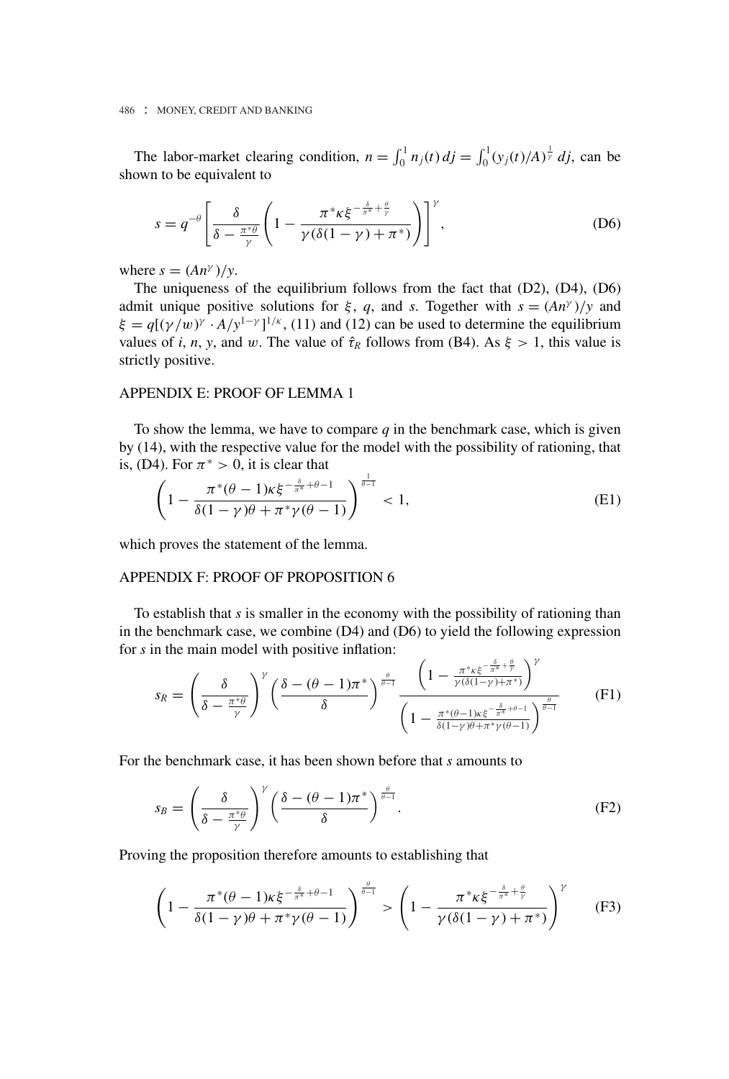The labor-market clearing condition,  $n = \int_0^1 n_j(t) dt = \int_0^1 (y_j(t)/A)^{\frac{1}{\gamma}} dt$ , can be shown to be equivalent to

$$
s = q^{-\theta} \left[ \frac{\delta}{\delta - \frac{\pi^*\theta}{\gamma}} \left( 1 - \frac{\pi^*\kappa \xi^{-\frac{\delta}{\pi^*} + \frac{\theta}{\gamma}}}{\gamma(\delta(1-\gamma) + \pi^*)} \right) \right]^\gamma, \tag{D6}
$$

where  $s = (An^{\gamma})/y$ .

The uniqueness of the equilibrium follows from the fact that (D2), (D4), (D6) admit unique positive solutions for  $\xi$ , *q*, and *s*. Together with  $s = (An^{\gamma})/y$  and  $\xi = q[(\gamma/w)^\gamma \cdot A/y^{1-\gamma}]^{1/\kappa}$ , (11) and (12) can be used to determine the equilibrium values of *i*, *n*, *y*, and *w*. The value of  $\hat{\tau}_R$  follows from (B4). As  $\xi > 1$ , this value is strictly positive.

#### APPENDIX E: PROOF OF LEMMA 1

To show the lemma, we have to compare  $q$  in the benchmark case, which is given by (14), with the respective value for the model with the possibility of rationing, that is, (D4). For  $\pi^* > 0$ , it is clear that

$$
\left(1 - \frac{\pi^*(\theta - 1)\kappa \xi^{-\frac{\delta}{\pi^*} + \theta - 1}}{\delta(1 - \gamma)\theta + \pi^* \gamma(\theta - 1)}\right)^{\frac{1}{\theta - 1}} < 1,\tag{E1}
$$

which proves the statement of the lemma.

## APPENDIX F: PROOF OF PROPOSITION 6

To establish that *s* is smaller in the economy with the possibility of rationing than in the benchmark case, we combine (D4) and (D6) to yield the following expression for *s* in the main model with positive inflation:

$$
s_R = \left(\frac{\delta}{\delta - \frac{\pi^*\theta}{\gamma}}\right)^{\gamma} \left(\frac{\delta - (\theta - 1)\pi^*}{\delta}\right)^{\frac{\theta}{\theta - 1}} \frac{\left(1 - \frac{\pi^* \kappa \xi^{-\frac{\delta}{\pi^*} + \frac{\theta}{\gamma}}}{\gamma(\delta(1 - \gamma) + \pi^*)}\right)^{\gamma}}{\left(1 - \frac{\pi^*(\theta - 1)\kappa \xi^{-\frac{\delta}{\pi^*} + \theta - 1}}{\delta(1 - \gamma)\theta + \pi^*\gamma(\theta - 1)}\right)^{\frac{\theta}{\theta - 1}}} \tag{F1}
$$

For the benchmark case, it has been shown before that *s* amounts to

$$
s_B = \left(\frac{\delta}{\delta - \frac{\pi^*\theta}{\gamma}}\right)^{\gamma} \left(\frac{\delta - (\theta - 1)\pi^*}{\delta}\right)^{\frac{\theta}{\theta - 1}}.\tag{F2}
$$

Proving the proposition therefore amounts to establishing that

$$
\left(1 - \frac{\pi^*(\theta - 1)\kappa\xi^{-\frac{\delta}{\pi^*} + \theta - 1}}{\delta(1 - \gamma)\theta + \pi^*\gamma(\theta - 1)}\right)^{\frac{\theta}{\theta - 1}} > \left(1 - \frac{\pi^*\kappa\xi^{-\frac{\delta}{\pi^*} + \frac{\theta}{\gamma}}}{\gamma(\delta(1 - \gamma) + \pi^*)}\right)^{\gamma} \tag{F3}
$$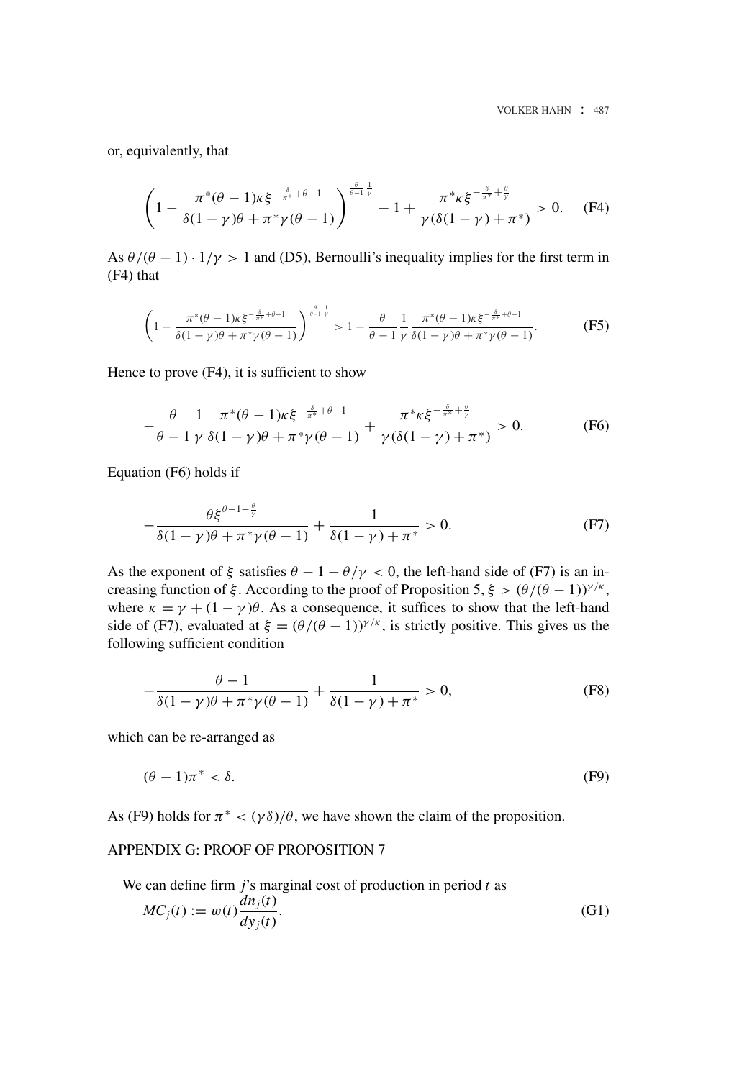or, equivalently, that

$$
\left(1 - \frac{\pi^*(\theta - 1)\kappa\xi^{-\frac{\delta}{\pi^*} + \theta - 1}}{\delta(1 - \gamma)\theta + \pi^*\gamma(\theta - 1)}\right)^{\frac{\theta}{\theta - 1}\frac{1}{\gamma}} - 1 + \frac{\pi^*\kappa\xi^{-\frac{\delta}{\pi^*} + \frac{\theta}{\gamma}}}{\gamma(\delta(1 - \gamma) + \pi^*)} > 0. \quad (F4)
$$

As  $\theta/(\theta - 1) \cdot 1/\gamma > 1$  and (D5), Bernoulli's inequality implies for the first term in (F4) that

$$
\left(1 - \frac{\pi^*(\theta - 1)\kappa\xi^{-\frac{4}{\pi^*} + \theta - 1}}{\delta(1 - \gamma)\theta + \pi^*\gamma(\theta - 1)}\right)^{\frac{\theta}{\theta - 1}\frac{1}{\gamma}} > 1 - \frac{\theta}{\theta - 1}\frac{1}{\gamma}\frac{\pi^*(\theta - 1)\kappa\xi^{-\frac{4}{\pi^*} + \theta - 1}}{\delta(1 - \gamma)\theta + \pi^*\gamma(\theta - 1)}.
$$
 (F5)

Hence to prove (F4), it is sufficient to show

$$
-\frac{\theta}{\theta-1}\frac{1}{\gamma}\frac{\pi^*(\theta-1)\kappa\xi^{-\frac{\delta}{\pi^*}+\theta-1}}{\delta(1-\gamma)\theta+\pi^*\gamma(\theta-1)}+\frac{\pi^*\kappa\xi^{-\frac{\delta}{\pi^*}+\frac{\theta}{\gamma}}}{\gamma(\delta(1-\gamma)+\pi^*)}>0.
$$
 (F6)

Equation (F6) holds if

$$
-\frac{\theta\xi^{\theta-1-\frac{\theta}{\gamma}}}{\delta(1-\gamma)\theta+\pi^*\gamma(\theta-1)}+\frac{1}{\delta(1-\gamma)+\pi^*}>0.
$$
 (F7)

As the exponent of  $\xi$  satisfies  $\theta - 1 - \theta/\gamma < 0$ , the left-hand side of (F7) is an increasing function of ξ. According to the proof of Proposition 5,  $\xi > (\theta/(\theta - 1))^{ \gamma/\kappa}$ , where  $\kappa = \gamma + (1 - \gamma)\theta$ . As a consequence, it suffices to show that the left-hand side of (F7), evaluated at  $\xi = (\theta/(\theta - 1))^{1/k}$ , is strictly positive. This gives us the following sufficient condition

$$
-\frac{\theta - 1}{\delta(1 - \gamma)\theta + \pi^* \gamma(\theta - 1)} + \frac{1}{\delta(1 - \gamma) + \pi^*} > 0,
$$
 (F8)

which can be re-arranged as

$$
(\theta - 1)\pi^* < \delta. \tag{F9}
$$

As (F9) holds for  $\pi^* < (\gamma \delta)/\theta$ , we have shown the claim of the proposition.

# APPENDIX G: PROOF OF PROPOSITION 7

We can define firm *j*'s marginal cost of production in period *t* as

$$
MC_j(t) := w(t) \frac{dn_j(t)}{dy_j(t)}.
$$
\n(G1)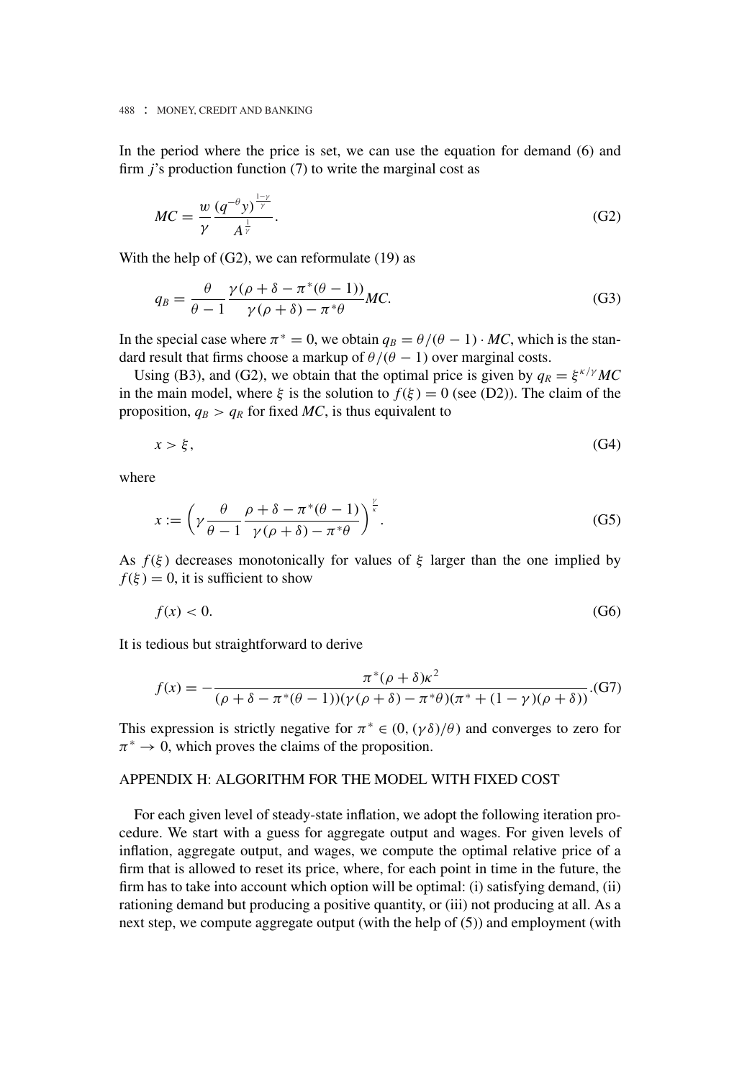In the period where the price is set, we can use the equation for demand (6) and firm *j*'s production function (7) to write the marginal cost as

$$
MC = \frac{w}{\gamma} \frac{(q^{-\theta} y)^{\frac{1-\gamma}{\gamma}}}{A^{\frac{1}{\gamma}}}.
$$
 (G2)

With the help of  $(G2)$ , we can reformulate  $(19)$  as

$$
q_B = \frac{\theta}{\theta - 1} \frac{\gamma(\rho + \delta - \pi^*(\theta - 1))}{\gamma(\rho + \delta) - \pi^*\theta} MC.
$$
 (G3)

In the special case where  $\pi^* = 0$ , we obtain  $q_B = \theta/(\theta - 1) \cdot MC$ , which is the standard result that firms choose a markup of  $\theta/(\theta - 1)$  over marginal costs.

Using (B3), and (G2), we obtain that the optimal price is given by  $q_R = \xi^{\kappa/\gamma}MC$ in the main model, where  $\xi$  is the solution to  $f(\xi) = 0$  (see (D2)). The claim of the proposition,  $q_B > q_R$  for fixed MC, is thus equivalent to

$$
x > \xi,\tag{G4}
$$

where

$$
x := \left(\gamma \frac{\theta}{\theta - 1} \frac{\rho + \delta - \pi^*(\theta - 1)}{\gamma(\rho + \delta) - \pi^*\theta}\right)^{\frac{\gamma}{\kappa}}.
$$
 (G5)

As  $f(\xi)$  decreases monotonically for values of  $\xi$  larger than the one implied by  $f(\xi) = 0$ , it is sufficient to show

$$
f(x) < 0. \tag{G6}
$$

It is tedious but straightforward to derive

$$
f(x) = -\frac{\pi^*(\rho + \delta)\kappa^2}{(\rho + \delta - \pi^*(\theta - 1))(\gamma(\rho + \delta) - \pi^*\theta)(\pi^* + (1 - \gamma)(\rho + \delta))}.
$$
(G7)

This expression is strictly negative for  $\pi^* \in (0, (\gamma \delta)/\theta)$  and converges to zero for  $\pi^* \to 0$ , which proves the claims of the proposition.

#### APPENDIX H: ALGORITHM FOR THE MODEL WITH FIXED COST

For each given level of steady-state inflation, we adopt the following iteration procedure. We start with a guess for aggregate output and wages. For given levels of inflation, aggregate output, and wages, we compute the optimal relative price of a firm that is allowed to reset its price, where, for each point in time in the future, the firm has to take into account which option will be optimal: (i) satisfying demand, (ii) rationing demand but producing a positive quantity, or (iii) not producing at all. As a next step, we compute aggregate output (with the help of (5)) and employment (with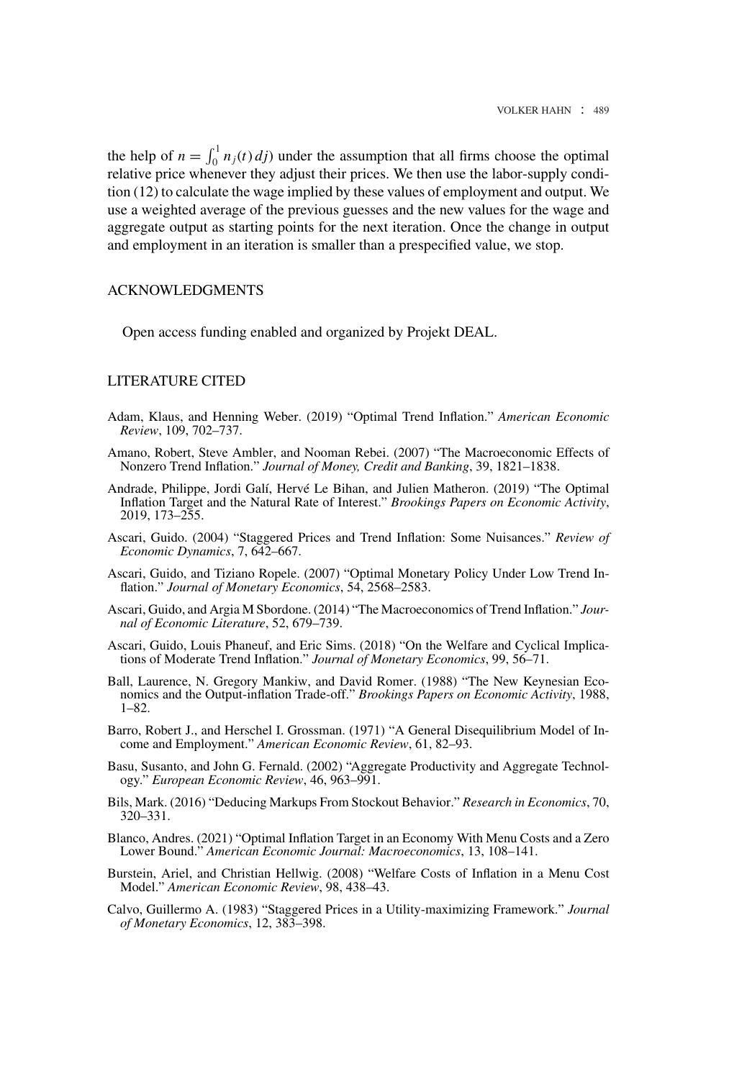the help of  $n = \int_0^1 n_j(t) \, dj$  under the assumption that all firms choose the optimal relative price whenever they adjust their prices. We then use the labor-supply condition (12) to calculate the wage implied by these values of employment and output. We use a weighted average of the previous guesses and the new values for the wage and aggregate output as starting points for the next iteration. Once the change in output and employment in an iteration is smaller than a prespecified value, we stop.

## ACKNOWLEDGMENTS

Open access funding enabled and organized by Projekt DEAL.

## LITERATURE CITED

- Adam, Klaus, and Henning Weber. (2019) "Optimal Trend Inflation." *American Economic Review*, 109, 702–737.
- Amano, Robert, Steve Ambler, and Nooman Rebei. (2007) "The Macroeconomic Effects of Nonzero Trend Inflation." *Journal of Money, Credit and Banking*, 39, 1821–1838.
- Andrade, Philippe, Jordi Galí, Hervé Le Bihan, and Julien Matheron. (2019) "The Optimal Inflation Target and the Natural Rate of Interest." *Brookings Papers on Economic Activity*, 2019, 173–255.
- Ascari, Guido. (2004) "Staggered Prices and Trend Inflation: Some Nuisances." *Review of Economic Dynamics*, 7, 642–667.
- Ascari, Guido, and Tiziano Ropele. (2007) "Optimal Monetary Policy Under Low Trend Inflation." *Journal of Monetary Economics*, 54, 2568–2583.
- Ascari, Guido, and Argia M Sbordone. (2014) "The Macroeconomics of Trend Inflation." *Journal of Economic Literature*, 52, 679–739.
- Ascari, Guido, Louis Phaneuf, and Eric Sims. (2018) "On the Welfare and Cyclical Implications of Moderate Trend Inflation." *Journal of Monetary Economics*, 99, 56–71.
- Ball, Laurence, N. Gregory Mankiw, and David Romer. (1988) "The New Keynesian Economics and the Output-inflation Trade-off." *Brookings Papers on Economic Activity*, 1988, 1–82.
- Barro, Robert J., and Herschel I. Grossman. (1971) "A General Disequilibrium Model of Income and Employment." *American Economic Review*, 61, 82–93.
- Basu, Susanto, and John G. Fernald. (2002) "Aggregate Productivity and Aggregate Technology." *European Economic Review*, 46, 963–991.
- Bils, Mark. (2016) "Deducing Markups From Stockout Behavior." *Research in Economics*, 70, 320–331.
- Blanco, Andres. (2021) "Optimal Inflation Target in an Economy With Menu Costs and a Zero Lower Bound." *American Economic Journal: Macroeconomics*, 13, 108–141.
- Burstein, Ariel, and Christian Hellwig. (2008) "Welfare Costs of Inflation in a Menu Cost Model." *American Economic Review*, 98, 438–43.
- Calvo, Guillermo A. (1983) "Staggered Prices in a Utility-maximizing Framework." *Journal of Monetary Economics*, 12, 383–398.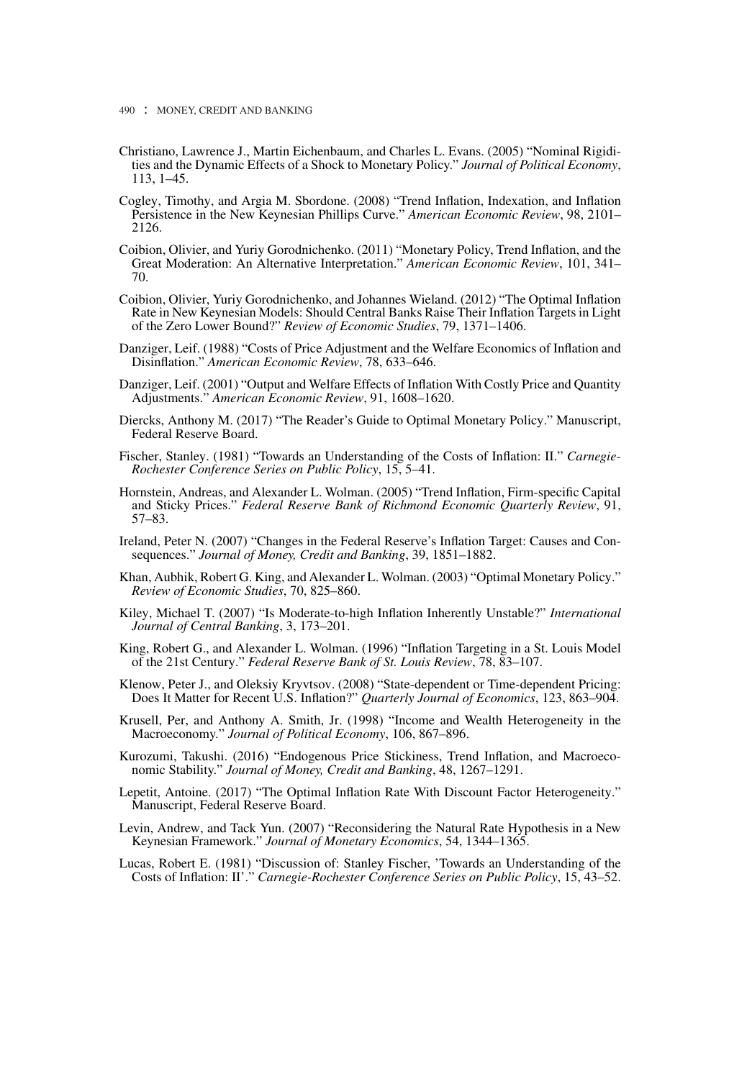- Christiano, Lawrence J., Martin Eichenbaum, and Charles L. Evans. (2005) "Nominal Rigidities and the Dynamic Effects of a Shock to Monetary Policy." *Journal of Political Economy*, 113, 1–45.
- Cogley, Timothy, and Argia M. Sbordone. (2008) "Trend Inflation, Indexation, and Inflation Persistence in the New Keynesian Phillips Curve." *American Economic Review*, 98, 2101– 2126.
- Coibion, Olivier, and Yuriy Gorodnichenko. (2011) "Monetary Policy, Trend Inflation, and the Great Moderation: An Alternative Interpretation." *American Economic Review*, 101, 341– 70.
- Coibion, Olivier, Yuriy Gorodnichenko, and Johannes Wieland. (2012) "The Optimal Inflation Rate in New Keynesian Models: Should Central Banks Raise Their Inflation Targets in Light of the Zero Lower Bound?" *Review of Economic Studies*, 79, 1371–1406.
- Danziger, Leif. (1988) "Costs of Price Adjustment and the Welfare Economics of Inflation and Disinflation." *American Economic Review*, 78, 633–646.
- Danziger, Leif. (2001) "Output and Welfare Effects of Inflation With Costly Price and Quantity Adjustments." *American Economic Review*, 91, 1608–1620.
- Diercks, Anthony M. (2017) "The Reader's Guide to Optimal Monetary Policy." Manuscript, Federal Reserve Board.
- Fischer, Stanley. (1981) "Towards an Understanding of the Costs of Inflation: II." *Carnegie-Rochester Conference Series on Public Policy*, 15, 5–41.
- Hornstein, Andreas, and Alexander L. Wolman. (2005) "Trend Inflation, Firm-specific Capital and Sticky Prices." *Federal Reserve Bank of Richmond Economic Quarterly Review*, 91, 57–83.
- Ireland, Peter N. (2007) "Changes in the Federal Reserve's Inflation Target: Causes and Consequences." *Journal of Money, Credit and Banking*, 39, 1851–1882.
- Khan, Aubhik, Robert G. King, and Alexander L. Wolman. (2003) "Optimal Monetary Policy." *Review of Economic Studies*, 70, 825–860.
- Kiley, Michael T. (2007) "Is Moderate-to-high Inflation Inherently Unstable?" *International Journal of Central Banking*, 3, 173–201.
- King, Robert G., and Alexander L. Wolman. (1996) "Inflation Targeting in a St. Louis Model of the 21st Century." *Federal Reserve Bank of St. Louis Review*, 78, 83–107.
- Klenow, Peter J., and Oleksiy Kryvtsov. (2008) "State-dependent or Time-dependent Pricing: Does It Matter for Recent U.S. Inflation?" *Quarterly Journal of Economics*, 123, 863–904.
- Krusell, Per, and Anthony A. Smith, Jr. (1998) "Income and Wealth Heterogeneity in the Macroeconomy." *Journal of Political Economy*, 106, 867–896.
- Kurozumi, Takushi. (2016) "Endogenous Price Stickiness, Trend Inflation, and Macroeconomic Stability." *Journal of Money, Credit and Banking*, 48, 1267–1291.
- Lepetit, Antoine. (2017) "The Optimal Inflation Rate With Discount Factor Heterogeneity." Manuscript, Federal Reserve Board.
- Levin, Andrew, and Tack Yun. (2007) "Reconsidering the Natural Rate Hypothesis in a New Keynesian Framework." *Journal of Monetary Economics*, 54, 1344–1365.
- Lucas, Robert E. (1981) "Discussion of: Stanley Fischer, 'Towards an Understanding of the Costs of Inflation: II'." *Carnegie-Rochester Conference Series on Public Policy*, 15, 43–52.